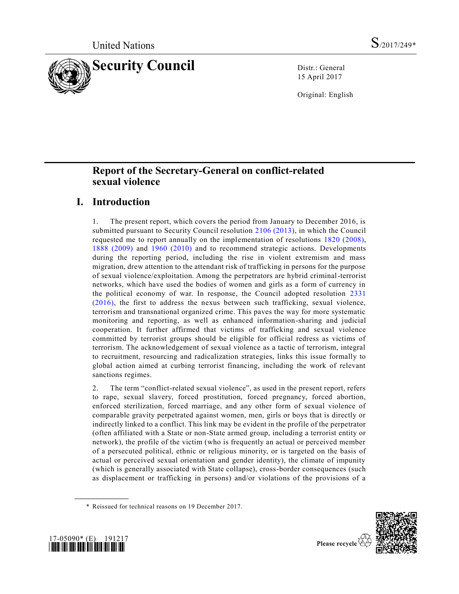

15 April 2017

Original: English

# **Report of the Secretary-General on conflict-related sexual violence**

# **I. Introduction**

1. The present report, which covers the period from January to December 2016, is submitted pursuant to Security Council resolution [2106 \(2013\),](http://undocs.org/S/RES/2106(2013)) in which the Council requested me to report annually on the implementation of resolutions [1820 \(2008\),](http://undocs.org/S/RES/1820(2008)) [1888 \(2009\)](http://undocs.org/S/RES/1888(2009)) and [1960 \(2010\)](http://undocs.org/S/RES/1960(2010)) and to recommend strategic actions. Developments during the reporting period, including the rise in violent extremism and mass migration, drew attention to the attendant risk of trafficking in persons for the purpose of sexual violence/exploitation. Among the perpetrators are hybrid criminal-terrorist networks, which have used the bodies of women and girls as a form of currency in the political economy of war. In response, the Council adopted resolution [2331](http://undocs.org/S/RES/2331(2016))  [\(2016\),](http://undocs.org/S/RES/2331(2016)) the first to address the nexus between such trafficking, sexual violence, terrorism and transnational organized crime. This paves the way for more systematic monitoring and reporting, as well as enhanced information-sharing and judicial cooperation. It further affirmed that victims of trafficking and sexual violence committed by terrorist groups should be eligible for official redress as victims of terrorism. The acknowledgement of sexual violence as a tactic of terrorism, integral to recruitment, resourcing and radicalization strategies, links this issue formally to global action aimed at curbing terrorist financing, including the work of relevant sanctions regimes.

2. The term "conflict-related sexual violence", as used in the present report, refers to rape, sexual slavery, forced prostitution, forced pregnancy, forced abortion, enforced sterilization, forced marriage, and any other form of sexual violence of comparable gravity perpetrated against women, men, girls or boys that is directly or indirectly linked to a conflict. This link may be evident in the profile of the perpetrator (often affiliated with a State or non-State armed group, including a terrorist entity or network), the profile of the victim (who is frequently an actual or perceived member of a persecuted political, ethnic or religious minority, or is targeted on the basis of actual or perceived sexual orientation and gender identity), the climate of impunity (which is generally associated with State collapse), cross-border consequences (such as displacement or trafficking in persons) and/or violations of the provisions of a





**\_\_\_\_\_\_\_\_\_\_\_\_\_\_\_\_\_\_**

<sup>\*</sup> Reissued for technical reasons on 19 December 2017.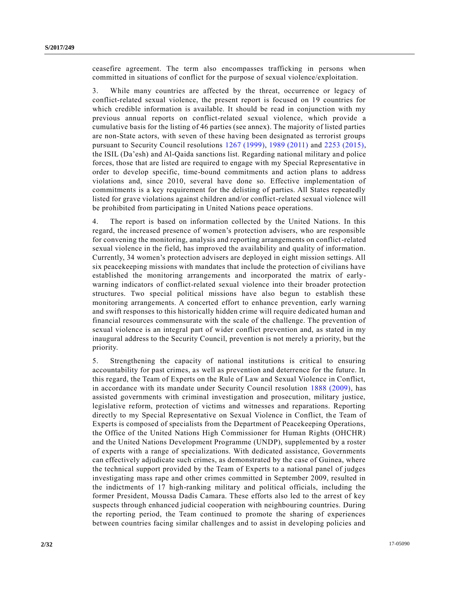ceasefire agreement. The term also encompasses trafficking in persons when committed in situations of conflict for the purpose of sexual violence/exploitation.

3. While many countries are affected by the threat, occurrence or legacy of conflict-related sexual violence, the present report is focused on 19 countries for which credible information is available. It should be read in conjunction with my previous annual reports on conflict-related sexual violence, which provide a cumulative basis for the listing of 46 parties (see annex). The majority of listed parties are non-State actors, with seven of these having been designated as terrorist groups pursuant to Security Council resolutions [1267 \(1999\),](http://undocs.org/S/RES/1267(1999)) [1989 \(2011\)](http://undocs.org/S/RES/1989(2011)) and [2253 \(2015\),](http://undocs.org/S/RES/2253(2015)) the ISIL (Da'esh) and Al-Qaida sanctions list. Regarding national military and police forces, those that are listed are required to engage with my Special Representative in order to develop specific, time-bound commitments and action plans to address violations and, since 2010, several have done so. Effective implementation of commitments is a key requirement for the delisting of parties. All States repeatedly listed for grave violations against children and/or conflict-related sexual violence will be prohibited from participating in United Nations peace operations.

4. The report is based on information collected by the United Nations. In this regard, the increased presence of women's protection advisers, who are responsible for convening the monitoring, analysis and reporting arrangements on conflict-related sexual violence in the field, has improved the availability and quality of information. Currently, 34 women's protection advisers are deployed in eight mission settings. All six peacekeeping missions with mandates that include the protection of civilians have established the monitoring arrangements and incorporated the matrix of earlywarning indicators of conflict-related sexual violence into their broader protection structures. Two special political missions have also begun to establish these monitoring arrangements. A concerted effort to enhance prevention, early warning and swift responses to this historically hidden crime will require dedicated human and financial resources commensurate with the scale of the challenge. The prevention of sexual violence is an integral part of wider conflict prevention and, as stated in my inaugural address to the Security Council, prevention is not merely a priority, but the priority.

5. Strengthening the capacity of national institutions is critical to ensuring accountability for past crimes, as well as prevention and deterrence for the future. In this regard, the Team of Experts on the Rule of Law and Sexual Violence in Conflict, in accordance with its mandate under Security Council resolution [1888 \(2009\),](http://undocs.org/S/RES/1888(2009)) has assisted governments with criminal investigation and prosecution, military justice, legislative reform, protection of victims and witnesses and reparations. Reporting directly to my Special Representative on Sexual Violence in Conflict, the Team of Experts is composed of specialists from the Department of Peacekeeping Operations, the Office of the United Nations High Commissioner for Human Rights (OHCHR) and the United Nations Development Programme (UNDP), supplemented by a roster of experts with a range of specializations. With dedicated assistance, Governments can effectively adjudicate such crimes, as demonstrated by the case of Guinea, where the technical support provided by the Team of Experts to a national panel of judges investigating mass rape and other crimes committed in September 2009, resulted in the indictments of 17 high-ranking military and political officials, including the former President, Moussa Dadis Camara. These efforts also led to the arrest of key suspects through enhanced judicial cooperation with neighbouring countries. During the reporting period, the Team continued to promote the sharing of experiences between countries facing similar challenges and to assist in developing policies and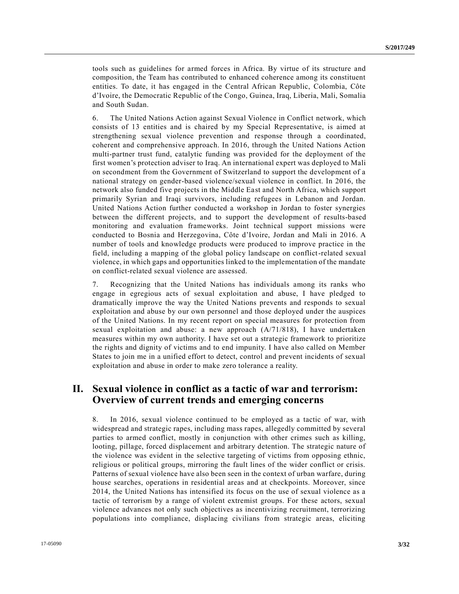tools such as guidelines for armed forces in Africa. By virtue of its structure and composition, the Team has contributed to enhanced coherence among its constituent entities. To date, it has engaged in the Central African Republic, Colombia, Côte d'Ivoire, the Democratic Republic of the Congo, Guinea, Iraq, Liberia, Mali, Somalia and South Sudan.

6. The United Nations Action against Sexual Violence in Conflict network, which consists of 13 entities and is chaired by my Special Representative, is aimed at strengthening sexual violence prevention and response through a coordinated, coherent and comprehensive approach. In 2016, through the United Nations Action multi-partner trust fund, catalytic funding was provided for the deployment of the first women's protection adviser to Iraq. An international expert was deployed to Mali on secondment from the Government of Switzerland to support the development of a national strategy on gender-based violence/sexual violence in conflict. In 2016, the network also funded five projects in the Middle East and North Africa, which support primarily Syrian and Iraqi survivors, including refugees in Lebanon and Jordan. United Nations Action further conducted a workshop in Jordan to foster synergies between the different projects, and to support the development of results-based monitoring and evaluation frameworks. Joint technical support missions were conducted to Bosnia and Herzegovina, Côte d'Ivoire, Jordan and Mali in 2016. A number of tools and knowledge products were produced to improve practice in the field, including a mapping of the global policy landscape on conflict-related sexual violence, in which gaps and opportunities linked to the implementation of the mandate on conflict-related sexual violence are assessed.

7. Recognizing that the United Nations has individuals among its ranks who engage in egregious acts of sexual exploitation and abuse, I have pledged to dramatically improve the way the United Nations prevents and responds to sexual exploitation and abuse by our own personnel and those deployed under the auspices of the United Nations. In my recent report on special measures for protection from sexual exploitation and abuse: a new approach (A/71/818), I have undertaken measures within my own authority. I have set out a strategic framework to prioritize the rights and dignity of victims and to end impunity. I have also called on Member States to join me in a unified effort to detect, control and prevent incidents of sexual exploitation and abuse in order to make zero tolerance a reality.

# **II. Sexual violence in conflict as a tactic of war and terrorism: Overview of current trends and emerging concerns**

8. In 2016, sexual violence continued to be employed as a tactic of war, with widespread and strategic rapes, including mass rapes, allegedly committed by several parties to armed conflict, mostly in conjunction with other crimes such as killing, looting, pillage, forced displacement and arbitrary detention. The strategic nature of the violence was evident in the selective targeting of victims from opposing ethnic, religious or political groups, mirroring the fault lines of the wider conflict or crisis. Patterns of sexual violence have also been seen in the context of urban warfare, during house searches, operations in residential areas and at checkpoints. Moreover, since 2014, the United Nations has intensified its focus on the use of sexual violence as a tactic of terrorism by a range of violent extremist groups. For these actors, sexual violence advances not only such objectives as incentivizing recruitment, terrorizing populations into compliance, displacing civilians from strategic areas, eliciting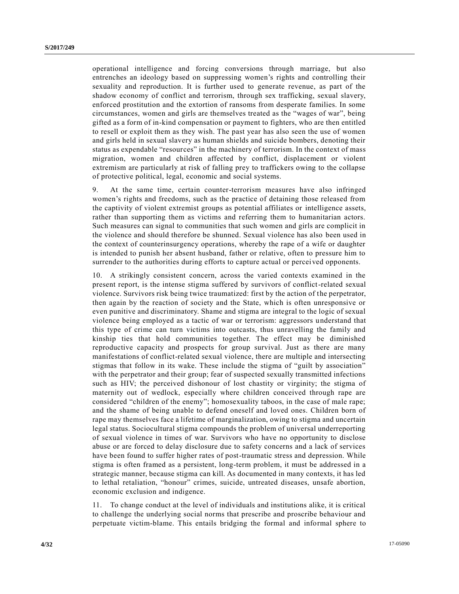operational intelligence and forcing conversions through marriage, but also entrenches an ideology based on suppressing women's rights and controlling their sexuality and reproduction. It is further used to generate revenue, as part of the shadow economy of conflict and terrorism, through sex trafficking, sexual slavery, enforced prostitution and the extortion of ransoms from desperate families. In some circumstances, women and girls are themselves treated as the "wages of war", being gifted as a form of in-kind compensation or payment to fighters, who are then entitled to resell or exploit them as they wish. The past year has also seen the use of women and girls held in sexual slavery as human shields and suicide bombers, denoting their status as expendable "resources" in the machinery of terrorism. In the context of mass migration, women and children affected by conflict, displacement or violent extremism are particularly at risk of falling prey to traffickers owing to the collapse of protective political, legal, economic and social systems.

9. At the same time, certain counter-terrorism measures have also infringed women's rights and freedoms, such as the practice of detaining those released from the captivity of violent extremist groups as potential affiliates or intelligence assets, rather than supporting them as victims and referring them to humanitarian actors. Such measures can signal to communities that such women and girls are complicit in the violence and should therefore be shunned. Sexual violence has also been used in the context of counterinsurgency operations, whereby the rape of a wife or daughter is intended to punish her absent husband, father or relative, often to pressure him to surrender to the authorities during efforts to capture actual or perceived opponents.

10. A strikingly consistent concern, across the varied contexts examined in the present report, is the intense stigma suffered by survivors of conflict-related sexual violence. Survivors risk being twice traumatized: first by the action of the perpetrator, then again by the reaction of society and the State, which is often unresponsive or even punitive and discriminatory. Shame and stigma are integral to the logic of sexual violence being employed as a tactic of war or terrorism: aggressors understand that this type of crime can turn victims into outcasts, thus unravelling the family and kinship ties that hold communities together. The effect may be diminished reproductive capacity and prospects for group survival. Just as there are many manifestations of conflict-related sexual violence, there are multiple and intersecting stigmas that follow in its wake. These include the stigma of "guilt by association" with the perpetrator and their group; fear of suspected sexually transmitted infections such as HIV; the perceived dishonour of lost chastity or virginity; the stigma of maternity out of wedlock, especially where children conceived through rape are considered "children of the enemy"; homosexuality taboos, in the case of male rape; and the shame of being unable to defend oneself and loved ones. Children born of rape may themselves face a lifetime of marginalization, owing to stigma and uncertain legal status. Sociocultural stigma compounds the problem of universal underreporting of sexual violence in times of war. Survivors who have no opportunity to disclose abuse or are forced to delay disclosure due to safety concerns and a lack of services have been found to suffer higher rates of post-traumatic stress and depression. While stigma is often framed as a persistent, long-term problem, it must be addressed in a strategic manner, because stigma can kill. As documented in many contexts, it has led to lethal retaliation, "honour" crimes, suicide, untreated diseases, unsafe abortion, economic exclusion and indigence.

11. To change conduct at the level of individuals and institutions alike, it is critical to challenge the underlying social norms that prescribe and proscribe behaviour and perpetuate victim-blame. This entails bridging the formal and informal sphere to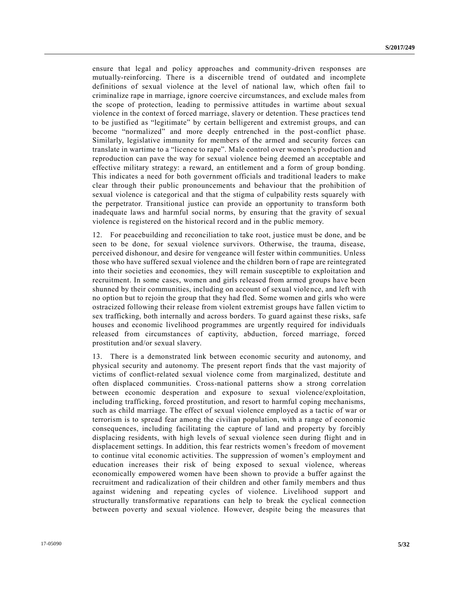ensure that legal and policy approaches and community-driven responses are mutually-reinforcing. There is a discernible trend of outdated and incomplete definitions of sexual violence at the level of national law, which often fail to criminalize rape in marriage, ignore coercive circumstances, and exclude males from the scope of protection, leading to permissive attitudes in wartime about sexual violence in the context of forced marriage, slavery or detention. These practices tend to be justified as "legitimate" by certain belligerent and extremist groups, and can become "normalized" and more deeply entrenched in the post-conflict phase. Similarly, legislative immunity for members of the armed and security forces can translate in wartime to a "licence to rape". Male control over women's production and reproduction can pave the way for sexual violence being deemed an acceptable and effective military strategy: a reward, an entitlement and a form of group bonding. This indicates a need for both government officials and traditional leaders to make clear through their public pronouncements and behaviour that the prohibition of sexual violence is categorical and that the stigma of culpability rests squarely with the perpetrator. Transitional justice can provide an opportunity to transform both inadequate laws and harmful social norms, by ensuring that the gravity of sexual violence is registered on the historical record and in the public memory.

12. For peacebuilding and reconciliation to take root, justice must be done, and be seen to be done, for sexual violence survivors. Otherwise, the trauma, disease, perceived dishonour, and desire for vengeance will fester within communities. Unless those who have suffered sexual violence and the children born of rape are reintegrated into their societies and economies, they will remain susceptible to exploitation and recruitment. In some cases, women and girls released from armed groups have been shunned by their communities, including on account of sexual violence, and left with no option but to rejoin the group that they had fled. Some women and girls who were ostracized following their release from violent extremist groups have fallen victim to sex trafficking, both internally and across borders. To guard against these risks, safe houses and economic livelihood programmes are urgently required for individuals released from circumstances of captivity, abduction, forced marriage, forced prostitution and/or sexual slavery.

13. There is a demonstrated link between economic security and autonomy, and physical security and autonomy. The present report finds that the vast majority of victims of conflict-related sexual violence come from marginalized, destitute and often displaced communities. Cross-national patterns show a strong correlation between economic desperation and exposure to sexual violence/exploitation, including trafficking, forced prostitution, and resort to harmful coping mechanisms, such as child marriage. The effect of sexual violence employed as a tactic of war or terrorism is to spread fear among the civilian population, with a range of economic consequences, including facilitating the capture of land and property by forcibly displacing residents, with high levels of sexual violence seen during flight and in displacement settings. In addition, this fear restricts women's freedom of movement to continue vital economic activities. The suppression of women's employment and education increases their risk of being exposed to sexual violence, whereas economically empowered women have been shown to provide a buffer against the recruitment and radicalization of their children and other family members and thus against widening and repeating cycles of violence. Livelihood support and structurally transformative reparations can help to break the cyclical connection between poverty and sexual violence. However, despite being the measures that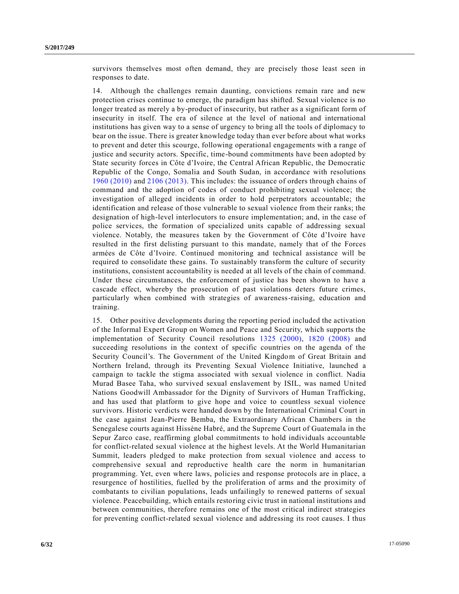survivors themselves most often demand, they are precisely those least seen in responses to date.

14. Although the challenges remain daunting, convictions remain rare and new protection crises continue to emerge, the paradigm has shifted. Sexual violence is no longer treated as merely a by-product of insecurity, but rather as a significant form of insecurity in itself. The era of silence at the level of national and international institutions has given way to a sense of urgency to bring all the tools of diplomacy to bear on the issue. There is greater knowledge today than ever before about what works to prevent and deter this scourge, following operational engagements with a range of justice and security actors. Specific, time-bound commitments have been adopted by State security forces in Côte d'Ivoire, the Central African Republic, the Democratic Republic of the Congo, Somalia and South Sudan, in accordance with resolutions [1960 \(2010\)](http://undocs.org/S/RES/1960(2010)) and [2106 \(2013\).](http://undocs.org/S/RES/2106(2013)) This includes: the issuance of orders through chains of command and the adoption of codes of conduct prohibiting sexual violence; the investigation of alleged incidents in order to hold perpetrators accountable; the identification and release of those vulnerable to sexual violence from their ranks; the designation of high-level interlocutors to ensure implementation; and, in the case of police services, the formation of specialized units capable of addressing sexual violence. Notably, the measures taken by the Government of Côte d'Ivoire have resulted in the first delisting pursuant to this mandate, namely that of the Forces armées de Côte d'Ivoire. Continued monitoring and technical assistance will be required to consolidate these gains. To sustainably transform the culture of security institutions, consistent accountability is needed at all levels of the chain of command. Under these circumstances, the enforcement of justice has been shown to have a cascade effect, whereby the prosecution of past violations deters future crimes, particularly when combined with strategies of awareness-raising, education and training.

15. Other positive developments during the reporting period included the activation of the Informal Expert Group on Women and Peace and Security, which supports the implementation of Security Council resolutions [1325 \(2000\),](http://undocs.org/S/RES/1325(2000)) [1820 \(2008\)](http://undocs.org/S/RES/1820(2008)) and succeeding resolutions in the context of specific countries on the agenda of the Security Council's. The Government of the United Kingdom of Great Britain and Northern Ireland, through its Preventing Sexual Violence Initiative, launched a campaign to tackle the stigma associated with sexual violence in conflict. Nadia Murad Basee Taha, who survived sexual enslavement by ISIL, was named United Nations Goodwill Ambassador for the Dignity of Survivors of Human Trafficking, and has used that platform to give hope and voice to countless sexual violence survivors. Historic verdicts were handed down by the International Criminal Court in the case against Jean-Pierre Bemba, the Extraordinary African Chambers in the Senegalese courts against Hissène Habré, and the Supreme Court of Guatemala in the Sepur Zarco case, reaffirming global commitments to hold individuals accountable for conflict-related sexual violence at the highest levels. At the World Humanitarian Summit, leaders pledged to make protection from sexual violence and access to comprehensive sexual and reproductive health care the norm in humanitarian programming. Yet, even where laws, policies and response protocols are in place, a resurgence of hostilities, fuelled by the proliferation of arms and the proximity of combatants to civilian populations, leads unfailingly to renewed patterns of sexual violence. Peacebuilding, which entails restoring civic trust in national institutions and between communities, therefore remains one of the most critical indirect strategies for preventing conflict-related sexual violence and addressing its root causes. I thus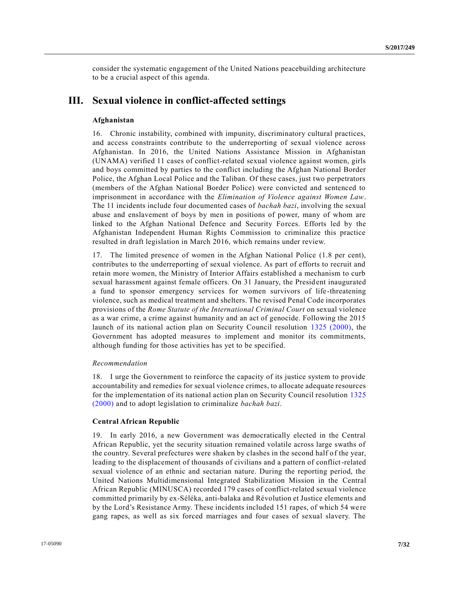consider the systematic engagement of the United Nations peacebuilding architecture to be a crucial aspect of this agenda.

# **III. Sexual violence in conflict-affected settings**

# **Afghanistan**

16. Chronic instability, combined with impunity, discriminatory cultural practices, and access constraints contribute to the underreporting of sexual violence across Afghanistan. In 2016, the United Nations Assistance Mission in Afghanistan (UNAMA) verified 11 cases of conflict-related sexual violence against women, girls and boys committed by parties to the conflict including the Afghan National Border Police, the Afghan Local Police and the Taliban. Of these cases, just two perpetrators (members of the Afghan National Border Police) were convicted and sentenced to imprisonment in accordance with the *Elimination of Violence against Women Law*. The 11 incidents include four documented cases of *bachah bazi*, involving the sexual abuse and enslavement of boys by men in positions of power, many of whom are linked to the Afghan National Defence and Security Forces. Efforts led by the Afghanistan Independent Human Rights Commission to criminalize this practice resulted in draft legislation in March 2016, which remains under review.

17. The limited presence of women in the Afghan National Police (1.8 per cent), contributes to the underreporting of sexual violence. As part of efforts to recruit and retain more women, the Ministry of Interior Affairs established a mechanism to curb sexual harassment against female officers. On 31 January, the President inaugurated a fund to sponsor emergency services for women survivors of life -threatening violence, such as medical treatment and shelters. The revised Penal Code incorporates provisions of the *Rome Statute of the International Criminal Court* on sexual violence as a war crime, a crime against humanity and an act of genocide. Following the 2015 launch of its national action plan on Security Council resolution [1325 \(2000\),](http://undocs.org/S/RES/1325(2000)) the Government has adopted measures to implement and monitor its commitments, although funding for those activities has yet to be specified.

# *Recommendation*

18. I urge the Government to reinforce the capacity of its justice system to provide accountability and remedies for sexual violence crimes, to allocate adequate resources for the implementation of its national action plan on Security Council resolution [1325](http://undocs.org/S/RES/1325(2000))  [\(2000\)](http://undocs.org/S/RES/1325(2000)) and to adopt legislation to criminalize *bachah bazi*.

# **Central African Republic**

19. In early 2016, a new Government was democratically elected in the Central African Republic, yet the security situation remained volatile across large swaths of the country. Several prefectures were shaken by clashes in the second half of the year, leading to the displacement of thousands of civilians and a pattern of conflict-related sexual violence of an ethnic and sectarian nature. During the reporting period, the United Nations Multidimensional Integrated Stabilization Mission in the Central African Republic (MINUSCA) recorded 179 cases of conflict-related sexual violence committed primarily by ex-Séléka, anti-balaka and Révolution et Justice elements and by the Lord's Resistance Army. These incidents included 151 rapes, of which 54 we re gang rapes, as well as six forced marriages and four cases of sexual slavery. The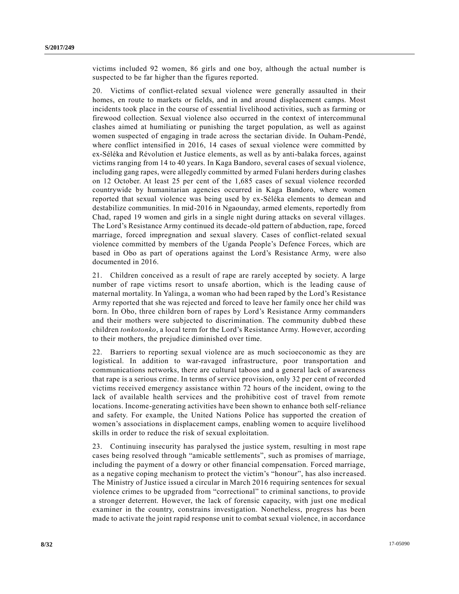victims included 92 women, 86 girls and one boy, although the actual number is suspected to be far higher than the figures reported.

20. Victims of conflict-related sexual violence were generally assaulted in their homes, en route to markets or fields, and in and around displacement camps. Most incidents took place in the course of essential livelihood activities, such as farming or firewood collection. Sexual violence also occurred in the context of intercommunal clashes aimed at humiliating or punishing the target population, as well as against women suspected of engaging in trade across the sectarian divide. In Ouham-Pendé, where conflict intensified in 2016, 14 cases of sexual violence were committed by ex-Séléka and Révolution et Justice elements, as well as by anti-balaka forces, against victims ranging from 14 to 40 years. In Kaga Bandoro, several cases of sexual violence, including gang rapes, were allegedly committed by armed Fulani herders during clashes on 12 October. At least 25 per cent of the 1,685 cases of sexual violence recorded countrywide by humanitarian agencies occurred in Kaga Bandoro, where women reported that sexual violence was being used by ex-Séléka elements to demean and destabilize communities. In mid-2016 in Ngaounday, armed elements, reportedly from Chad, raped 19 women and girls in a single night during attacks on several villages. The Lord's Resistance Army continued its decade-old pattern of abduction, rape, forced marriage, forced impregnation and sexual slavery. Cases of conflict-related sexual violence committed by members of the Uganda People's Defence Forces, which are based in Obo as part of operations against the Lord's Resistance Army, were also documented in 2016.

21. Children conceived as a result of rape are rarely accepted by society. A large number of rape victims resort to unsafe abortion, which is the leading cause of maternal mortality. In Yalinga, a woman who had been raped by the Lord's Resistance Army reported that she was rejected and forced to leave her family once her child was born. In Obo, three children born of rapes by Lord's Resistance Army commanders and their mothers were subjected to discrimination. The community dubbed these children *tonkotonko*, a local term for the Lord's Resistance Army. However, according to their mothers, the prejudice diminished over time.

22. Barriers to reporting sexual violence are as much socioeconomic as they are logistical. In addition to war-ravaged infrastructure, poor transportation and communications networks, there are cultural taboos and a general lack of awareness that rape is a serious crime. In terms of service provision, only 32 per cent of recorded victims received emergency assistance within 72 hours of the incident, owing to the lack of available health services and the prohibitive cost of travel from remote locations. Income-generating activities have been shown to enhance both self-reliance and safety. For example, the United Nations Police has supported the creation of women's associations in displacement camps, enabling women to acquire livelihood skills in order to reduce the risk of sexual exploitation.

23. Continuing insecurity has paralysed the justice system, resulting in most rape cases being resolved through "amicable settlements", such as promises of marriage, including the payment of a dowry or other financial compensation. Forced marriage, as a negative coping mechanism to protect the victim's "honour", has also increased. The Ministry of Justice issued a circular in March 2016 requiring sentences for sexual violence crimes to be upgraded from "correctional" to criminal sanctions, to provide a stronger deterrent. However, the lack of forensic capacity, with just one medical examiner in the country, constrains investigation. Nonetheless, progress has been made to activate the joint rapid response unit to combat sexual violence, in accordance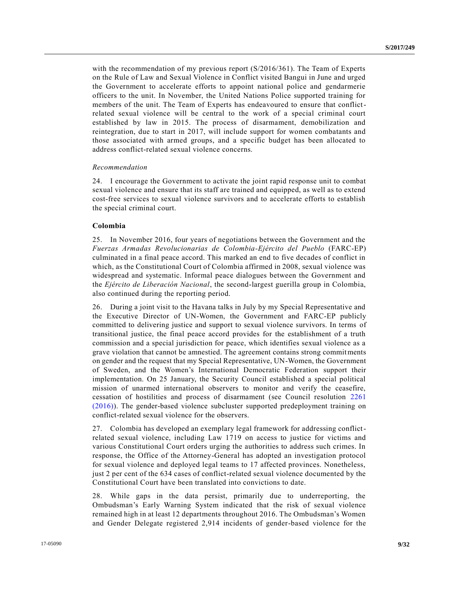with the recommendation of my previous report  $(S/2016/361)$ . The Team of Experts on the Rule of Law and Sexual Violence in Conflict visited Bangui in June and urged the Government to accelerate efforts to appoint national police and gendarmerie officers to the unit. In November, the United Nations Police supported training for members of the unit. The Team of Experts has endeavoured to ensure that conflictrelated sexual violence will be central to the work of a special criminal court established by law in 2015. The process of disarmament, demobilization and reintegration, due to start in 2017, will include support for women combatants and those associated with armed groups, and a specific budget has been allocated to address conflict-related sexual violence concerns.

#### *Recommendation*

24. I encourage the Government to activate the joint rapid response unit to combat sexual violence and ensure that its staff are trained and equipped, as well as to extend cost-free services to sexual violence survivors and to accelerate efforts to establish the special criminal court.

#### **Colombia**

25. In November 2016, four years of negotiations between the Government and the *Fuerzas Armadas Revolucionarias de Colombia-Ejército del Pueblo* (FARC-EP) culminated in a final peace accord. This marked an end to five decades of conflict in which, as the Constitutional Court of Colombia affirmed in 2008, sexual violence was widespread and systematic. Informal peace dialogues between the Government and the *Ejército de Liberación Nacional*, the second-largest guerilla group in Colombia, also continued during the reporting period.

26. During a joint visit to the Havana talks in July by my Special Representative and the Executive Director of UN-Women, the Government and FARC-EP publicly committed to delivering justice and support to sexual violence survivors. In terms of transitional justice, the final peace accord provides for the establishment of a truth commission and a special jurisdiction for peace, which identifies sexual violence as a grave violation that cannot be amnestied. The agreement contains strong commitments on gender and the request that my Special Representative, UN-Women, the Government of Sweden, and the Women's International Democratic Federation support their implementation. On 25 January, the Security Council established a special political mission of unarmed international observers to monitor and verify the ceasefire, cessation of hostilities and process of disarmament (see Council resolution [2261](http://undocs.org/S/RES/2261(2016))  [\(2016\)\)](http://undocs.org/S/RES/2261(2016)). The gender-based violence subcluster supported predeployment training on conflict-related sexual violence for the observers.

27. Colombia has developed an exemplary legal framework for addressing conflictrelated sexual violence, including Law 1719 on access to justice for victims and various Constitutional Court orders urging the authorities to address such crimes. In response, the Office of the Attorney-General has adopted an investigation protocol for sexual violence and deployed legal teams to 17 affected provinces. Nonetheless, just 2 per cent of the 634 cases of conflict-related sexual violence documented by the Constitutional Court have been translated into convictions to date.

28. While gaps in the data persist, primarily due to underreporting, the Ombudsman's Early Warning System indicated that the risk of sexual violence remained high in at least 12 departments throughout 2016. The Ombudsman's Women and Gender Delegate registered 2,914 incidents of gender-based violence for the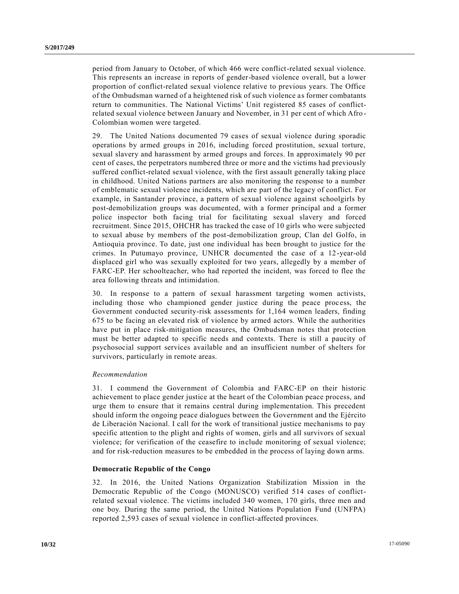period from January to October, of which 466 were conflict-related sexual violence. This represents an increase in reports of gender-based violence overall, but a lower proportion of conflict-related sexual violence relative to previous years. The Office of the Ombudsman warned of a heightened risk of such violence as former combatants return to communities. The National Victims' Unit registered 85 cases of conflictrelated sexual violence between January and November, in 31 per cent of which Afro - Colombian women were targeted.

29. The United Nations documented 79 cases of sexual violence during sporadic operations by armed groups in 2016, including forced prostitution, sexual torture, sexual slavery and harassment by armed groups and forces. In approximately 90 per cent of cases, the perpetrators numbered three or more and the victims had previously suffered conflict-related sexual violence, with the first assault generally taking place in childhood. United Nations partners are also monitoring the response to a number of emblematic sexual violence incidents, which are part of the legacy of conflict. For example, in Santander province, a pattern of sexual violence against schoolgirls by post-demobilization groups was documented, with a former principal and a former police inspector both facing trial for facilitating sexual slavery and forced recruitment. Since 2015, OHCHR has tracked the case of 10 girls who were subjected to sexual abuse by members of the post-demobilization group, Clan del Golfo, in Antioquia province. To date, just one individual has been brought to justice for the crimes. In Putumayo province, UNHCR documented the case of a 12-year-old displaced girl who was sexually exploited for two years, allegedly by a member of FARC-EP. Her schoolteacher, who had reported the incident, was forced to flee the area following threats and intimidation.

30. In response to a pattern of sexual harassment targeting women activists, including those who championed gender justice during the peace proc ess, the Government conducted security-risk assessments for 1,164 women leaders, finding 675 to be facing an elevated risk of violence by armed actors. While the authorities have put in place risk-mitigation measures, the Ombudsman notes that protection must be better adapted to specific needs and contexts. There is still a paucity of psychosocial support services available and an insufficient number of shelters for survivors, particularly in remote areas.

#### *Recommendation*

31. I commend the Government of Colombia and FARC-EP on their historic achievement to place gender justice at the heart of the Colombian peace process, and urge them to ensure that it remains central during implementation. This precedent should inform the ongoing peace dialogues between the Government and the Ejército de Liberación Nacional. I call for the work of transitional justice mechanisms to pay specific attention to the plight and rights of women, girls and all survivors of sexual violence; for verification of the ceasefire to include monitoring of sexual violence; and for risk-reduction measures to be embedded in the process of laying down arms.

#### **Democratic Republic of the Congo**

32. In 2016, the United Nations Organization Stabilization Mission in the Democratic Republic of the Congo (MONUSCO) verified 514 cases of conflictrelated sexual violence. The victims included 340 women, 170 girls, three men and one boy. During the same period, the United Nations Population Fund (UNFPA) reported 2,593 cases of sexual violence in conflict-affected provinces.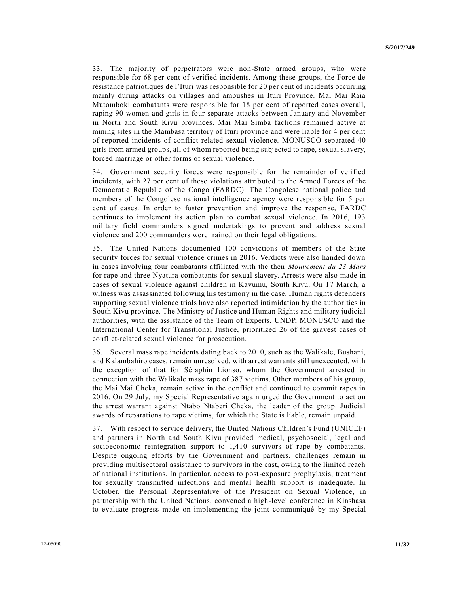33. The majority of perpetrators were non-State armed groups, who were responsible for 68 per cent of verified incidents. Among these groups, the Force de résistance patriotiques de l'Ituri was responsible for 20 per cent of incidents occurring mainly during attacks on villages and ambushes in Ituri Province. Mai Mai Raia Mutomboki combatants were responsible for 18 per cent of reported cases overall, raping 90 women and girls in four separate attacks between January and November in North and South Kivu provinces. Mai Mai Simba factions remained active at mining sites in the Mambasa territory of Ituri province and were liable for 4 per cent of reported incidents of conflict-related sexual violence. MONUSCO separated 40 girls from armed groups, all of whom reported being subjected to rape, sexual slavery, forced marriage or other forms of sexual violence.

34. Government security forces were responsible for the remainder of verified incidents, with 27 per cent of these violations attributed to the Armed Forces of the Democratic Republic of the Congo (FARDC). The Congolese national police and members of the Congolese national intelligence agency were responsible for 5 per cent of cases. In order to foster prevention and improve the response, FARDC continues to implement its action plan to combat sexual violence. In 2016, 193 military field commanders signed undertakings to prevent and address sexual violence and 200 commanders were trained on their legal obligations.

35. The United Nations documented 100 convictions of members of the State security forces for sexual violence crimes in 2016. Verdicts were also handed down in cases involving four combatants affiliated with the then *Mouvement du 23 Mars* for rape and three Nyatura combatants for sexual slavery. Arrests were also made in cases of sexual violence against children in Kavumu, South Kivu. On 17 March, a witness was assassinated following his testimony in the case. Human rights defenders supporting sexual violence trials have also reported intimidation by the authorities in South Kivu province. The Ministry of Justice and Human Rights and military judicial authorities, with the assistance of the Team of Experts, UNDP, MONUSCO and the International Center for Transitional Justice, prioritized 26 of the gravest cases of conflict-related sexual violence for prosecution.

36. Several mass rape incidents dating back to 2010, such as the Walikale, Bushani, and Kalambahiro cases, remain unresolved, with arrest warrants still unexecuted, with the exception of that for Séraphin Lionso, whom the Government arrested in connection with the Walikale mass rape of 387 victims. Other members of his group, the Mai Mai Cheka, remain active in the conflict and continued to commit rapes in 2016. On 29 July, my Special Representative again urged the Government to act on the arrest warrant against Ntabo Ntaberi Cheka, the leader of the group. Judicial awards of reparations to rape victims, for which the State is liable, remain unpaid.

37. With respect to service delivery, the United Nations Children's Fund (UNICEF) and partners in North and South Kivu provided medical, psychosocial, legal and socioeconomic reintegration support to 1,410 survivors of rape by combatants. Despite ongoing efforts by the Government and partners, challenges remain in providing multisectoral assistance to survivors in the east, owing to the limited reach of national institutions. In particular, access to post-exposure prophylaxis, treatment for sexually transmitted infections and mental health support is inadequate. In October, the Personal Representative of the President on Sexual Violence, in partnership with the United Nations, convened a high-level conference in Kinshasa to evaluate progress made on implementing the joint communiqué by my Special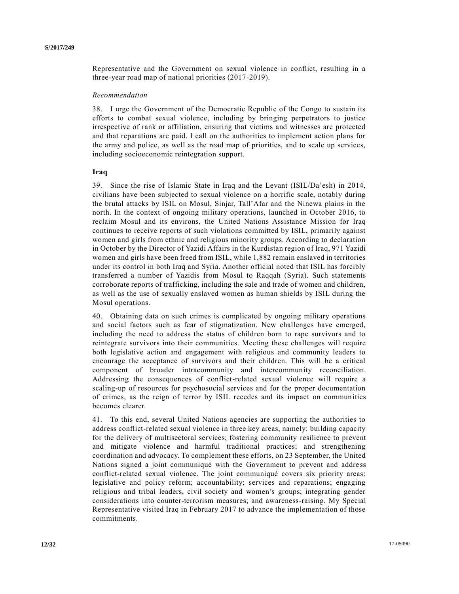Representative and the Government on sexual violence in conflict, resulting in a three-year road map of national priorities (2017-2019).

#### *Recommendation*

38. I urge the Government of the Democratic Republic of the Congo to sustain its efforts to combat sexual violence, including by bringing perpetrators to justice irrespective of rank or affiliation, ensuring that victims and witnesses are protected and that reparations are paid. I call on the authorities to implement action plans for the army and police, as well as the road map of priorities, and to scale up services, including socioeconomic reintegration support.

# **Iraq**

39. Since the rise of Islamic State in Iraq and the Levant (ISIL/Da'esh) in 2014, civilians have been subjected to sexual violence on a horrific scale, notably during the brutal attacks by ISIL on Mosul, Sinjar, Tall'Afar and the Ninewa plains in the north. In the context of ongoing military operations, launched in October 2016, to reclaim Mosul and its environs, the United Nations Assistance Mission for Iraq continues to receive reports of such violations committed by ISIL, primarily against women and girls from ethnic and religious minority groups. According to declaration in October by the Director of Yazidi Affairs in the Kurdistan region of Iraq, 971 Yazidi women and girls have been freed from ISIL, while 1,882 remain enslaved in territories under its control in both Iraq and Syria. Another official noted that ISIL has forcibly transferred a number of Yazidis from Mosul to Raqqah (Syria). Such statements corroborate reports of trafficking, including the sale and trade of women and children, as well as the use of sexually enslaved women as human shields by ISIL during the Mosul operations.

40. Obtaining data on such crimes is complicated by ongoing military operations and social factors such as fear of stigmatization. New challenges have emerged, including the need to address the status of children born to rape survivors and to reintegrate survivors into their communities. Meeting these challenges will require both legislative action and engagement with religious and community leaders to encourage the acceptance of survivors and their children. This will be a critical component of broader intracommunity and intercommunity reconciliation. Addressing the consequences of conflict-related sexual violence will require a scaling-up of resources for psychosocial services and for the proper documentation of crimes, as the reign of terror by ISIL recedes and its impact on communities becomes clearer.

41. To this end, several United Nations agencies are supporting the authorities to address conflict-related sexual violence in three key areas, namely: building capacity for the delivery of multisectoral services; fostering community resilience to prevent and mitigate violence and harmful traditional practices; and strengthening coordination and advocacy. To complement these efforts, on 23 September, the United Nations signed a joint communiqué with the Government to prevent and addre ss conflict-related sexual violence. The joint communiqué covers six priority areas: legislative and policy reform; accountability; services and reparations; engaging religious and tribal leaders, civil society and women's groups; integrating gender considerations into counter-terrorism measures; and awareness-raising. My Special Representative visited Iraq in February 2017 to advance the implementation of those commitments.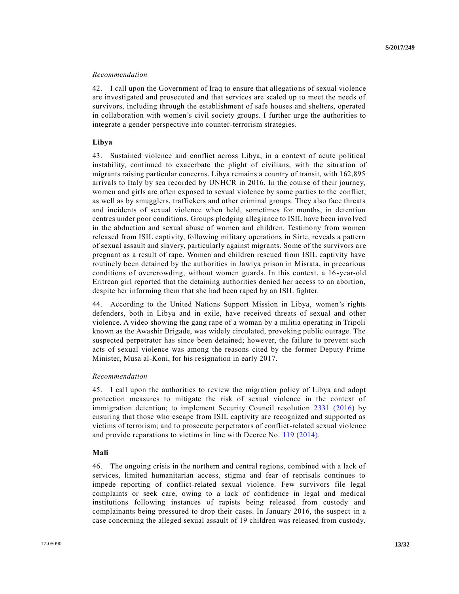#### *Recommendation*

42. I call upon the Government of Iraq to ensure that allegations of sexual violence are investigated and prosecuted and that services are scaled up to meet the needs of survivors, including through the establishment of safe houses and shelters, operated in collaboration with women's civil society groups. I further urge the authorities to integrate a gender perspective into counter-terrorism strategies.

# **Libya**

43. Sustained violence and conflict across Libya, in a context of acute political instability, continued to exacerbate the plight of civilians, with the situation of migrants raising particular concerns. Libya remains a country of transit, with 162,895 arrivals to Italy by sea recorded by UNHCR in 2016. In the course of their journey, women and girls are often exposed to sexual violence by some parties to the conflict, as well as by smugglers, traffickers and other criminal groups. They also face threats and incidents of sexual violence when held, sometimes for months, in detention centres under poor conditions. Groups pledging allegiance to ISIL have been involved in the abduction and sexual abuse of women and children. Testimony from women released from ISIL captivity, following military operations in Sirte, reveals a pattern of sexual assault and slavery, particularly against migrants. Some of the survivors a re pregnant as a result of rape. Women and children rescued from ISIL captivity have routinely been detained by the authorities in Jawiya prison in Misrata, in precarious conditions of overcrowding, without women guards. In this context, a 16-year-old Eritrean girl reported that the detaining authorities denied her access to an abortion, despite her informing them that she had been raped by an ISIL fighter.

44. According to the United Nations Support Mission in Libya, women's rights defenders, both in Libya and in exile, have received threats of sexual and other violence. A video showing the gang rape of a woman by a militia operating in Tripoli known as the Awashir Brigade, was widely circulated, provoking public outrage. The suspected perpetrator has since been detained; however, the failure to prevent such acts of sexual violence was among the reasons cited by the former Deputy Prime Minister, Musa al-Koni, for his resignation in early 2017.

#### *Recommendation*

45. I call upon the authorities to review the migration policy of Libya and adopt protection measures to mitigate the risk of sexual violence in the context of immigration detention; to implement Security Council resolution [2331 \(2016\)](http://undocs.org/S/RES/2331(2016)) by ensuring that those who escape from ISIL captivity are recognized and supported as victims of terrorism; and to prosecute perpetrators of conflict-related sexual violence and provide reparations to victims in line with Decree No. [119 \(2014\).](http://undocs.org/S/RES/119(2014))

# **Mali**

46. The ongoing crisis in the northern and central regions, combined with a lack of services, limited humanitarian access, stigma and fear of reprisals continues to impede reporting of conflict-related sexual violence. Few survivors file legal complaints or seek care, owing to a lack of confidence in legal and medical institutions following instances of rapists being released from custody and complainants being pressured to drop their cases. In January 2016, the suspect in a case concerning the alleged sexual assault of 19 children was released from custody.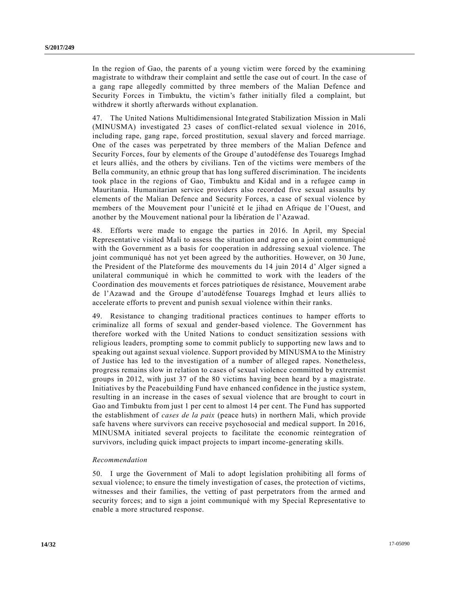In the region of Gao, the parents of a young victim were forced by the examining magistrate to withdraw their complaint and settle the case out of court. In the case of a gang rape allegedly committed by three members of the Malian Defence and Security Forces in Timbuktu, the victim's father initially filed a complaint, but withdrew it shortly afterwards without explanation.

47. The United Nations Multidimensional Integrated Stabilization Mission in Mali (MINUSMA) investigated 23 cases of conflict-related sexual violence in 2016, including rape, gang rape, forced prostitution, sexual slavery and forced marriage. One of the cases was perpetrated by three members of the Malian Defence and Security Forces, four by elements of the Groupe d'autodéfense des Touaregs Imghad et leurs alliés, and the others by civilians. Ten of the victims were members of the Bella community, an ethnic group that has long suffered discrimination. The incidents took place in the regions of Gao, Timbuktu and Kidal and in a refugee camp in Mauritania. Humanitarian service providers also recorded five sexual assaults by elements of the Malian Defence and Security Forces, a case of sexual violence by members of the Mouvement pour l'unicité et le jihad en Afrique de l'Ouest, and another by the Mouvement national pour la libération de l'Azawad.

48. Efforts were made to engage the parties in 2016. In April, my Special Representative visited Mali to assess the situation and agree on a joint communiqué with the Government as a basis for cooperation in addressing sexual violence. The joint communiqué has not yet been agreed by the authorities. However, on 30 June, the President of the Plateforme des mouvements du 14 juin 2014 d' Alger signed a unilateral communiqué in which he committed to work with the leaders of the Coordination des mouvements et forces patriotiques de résistance, Mouvement arabe de l'Azawad and the Groupe d'autodéfense Touaregs Imghad et leurs alliés to accelerate efforts to prevent and punish sexual violence within their ranks.

49. Resistance to changing traditional practices continues to hamper efforts to criminalize all forms of sexual and gender-based violence. The Government has therefore worked with the United Nations to conduct sensitization sessions with religious leaders, prompting some to commit publicly to supporting new laws and to speaking out against sexual violence. Support provided by MINUSMA to the Ministry of Justice has led to the investigation of a number of alleged rapes. Nonetheless, progress remains slow in relation to cases of sexual violence committed by extremist groups in 2012, with just 37 of the 80 victims having been heard by a magistrate. Initiatives by the Peacebuilding Fund have enhanced confidence in the justice system, resulting in an increase in the cases of sexual violence that are brought to court in Gao and Timbuktu from just 1 per cent to almost 14 per cent. The Fund has supported the establishment of *cases de la paix* (peace huts) in northern Mali, which provide safe havens where survivors can receive psychosocial and medical support. In 2016, MINUSMA initiated several projects to facilitate the economic reintegration of survivors, including quick impact projects to impart income-generating skills.

#### *Recommendation*

50. I urge the Government of Mali to adopt legislation prohibiting all forms of sexual violence; to ensure the timely investigation of cases, the protection of victims, witnesses and their families, the vetting of past perpetrators from the armed and security forces; and to sign a joint communiqué with my Special Representative to enable a more structured response.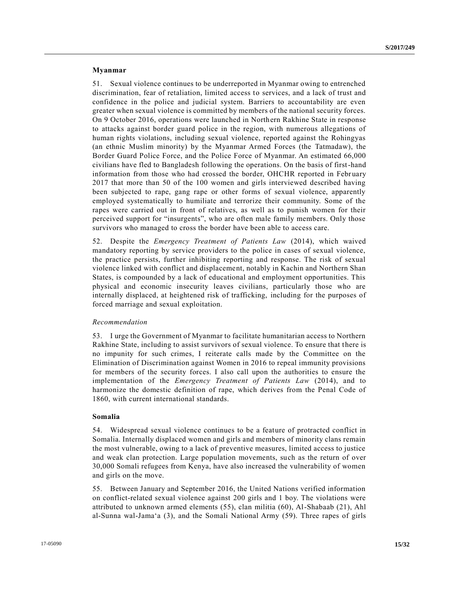#### **Myanmar**

51. Sexual violence continues to be underreported in Myanmar owing to entrenched discrimination, fear of retaliation, limited access to services, and a lack of trust and confidence in the police and judicial system. Barriers to accountability are even greater when sexual violence is committed by members of the national security forces. On 9 October 2016, operations were launched in Northern Rakhine State in response to attacks against border guard police in the region, with numerous allegations of human rights violations, including sexual violence, reported against the Rohingyas (an ethnic Muslim minority) by the Myanmar Armed Forces (the Tatmadaw), the Border Guard Police Force, and the Police Force of Myanmar. An estimated 66,000 civilians have fled to Bangladesh following the operations. On the basis of first-hand information from those who had crossed the border, OHCHR reported in February 2017 that more than 50 of the 100 women and girls interviewed described having been subjected to rape, gang rape or other forms of sexual violence, apparently employed systematically to humiliate and terrorize their community. Some of the rapes were carried out in front of relatives, as well as to punish women for their perceived support for "insurgents", who are often male family members. Only those survivors who managed to cross the border have been able to access care.

52. Despite the *Emergency Treatment of Patients Law* (2014), which waived mandatory reporting by service providers to the police in cases of sexual violence, the practice persists, further inhibiting reporting and response. The risk of sexual violence linked with conflict and displacement, notably in Kachin and Northern Shan States, is compounded by a lack of educational and employment opportunities. This physical and economic insecurity leaves civilians, particularly those who are internally displaced, at heightened risk of trafficking, including for the purposes of forced marriage and sexual exploitation.

#### *Recommendation*

53. I urge the Government of Myanmar to facilitate humanitarian access to Northern Rakhine State, including to assist survivors of sexual violence. To ensure that there is no impunity for such crimes, I reiterate calls made by the Committee on the Elimination of Discrimination against Women in 2016 to repeal immunity provisions for members of the security forces. I also call upon the authorities to ensure the implementation of the *Emergency Treatment of Patients Law* (2014), and to harmonize the domestic definition of rape, which derives from the Penal Code of 1860, with current international standards.

# **Somalia**

54. Widespread sexual violence continues to be a feature of protracted conflict in Somalia. Internally displaced women and girls and members of minority clans remain the most vulnerable, owing to a lack of preventive measures, limited access to justice and weak clan protection. Large population movements, such as the return of over 30,000 Somali refugees from Kenya, have also increased the vulnerability of women and girls on the move.

55. Between January and September 2016, the United Nations verified information on conflict-related sexual violence against 200 girls and 1 boy. The violations were attributed to unknown armed elements (55), clan militia (60), Al-Shabaab (21), Ahl al-Sunna wal-Jama'a (3), and the Somali National Army (59). Three rapes of girls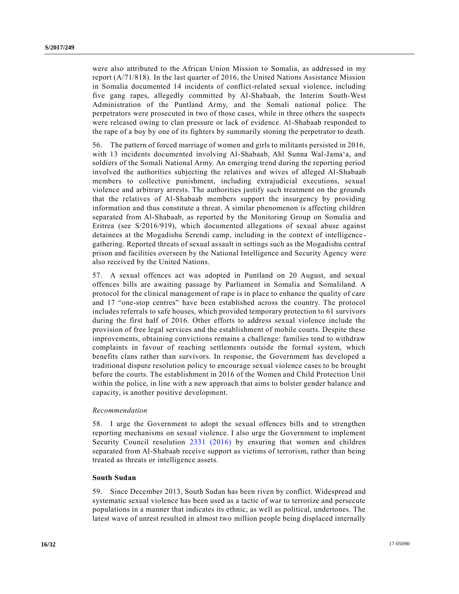were also attributed to the African Union Mission to Somalia, as addressed in my report (A/71/818). In the last quarter of 2016, the United Nations Assistance Mission in Somalia documented 14 incidents of conflict-related sexual violence, including five gang rapes, allegedly committed by Al-Shabaab, the Interim South-West Administration of the Puntland Army, and the Somali national police. The perpetrators were prosecuted in two of those cases, while in three others the suspects were released owing to clan pressure or lack of evidence. Al-Shabaab responded to the rape of a boy by one of its fighters by summarily stoning the perpetrator to death.

56. The pattern of forced marriage of women and girls to militants persisted in 2016, with 13 incidents documented involving Al-Shabaab, Ahl Sunna Wal-Jama'a, and soldiers of the Somali National Army. An emerging trend during the reporting period involved the authorities subjecting the relatives and wives of alleged Al-Shabaab members to collective punishment, including extrajudicial executions, sexual violence and arbitrary arrests. The authorities justify such treatment on the grounds that the relatives of Al-Shabaab members support the insurgency by providing information and thus constitute a threat. A similar phenomenon is affecting children separated from Al-Shabaab, as reported by the Monitoring Group on Somalia and Eritrea (see S/2016/919), which documented allegations of sexual abuse against detainees at the Mogadishu Serendi camp, including in the context of intelligence gathering. Reported threats of sexual assault in settings such as the Mogadishu central prison and facilities overseen by the National Intelligence and Security Agency were also received by the United Nations.

57. A sexual offences act was adopted in Puntland on 20 August, and sexual offences bills are awaiting passage by Parliament in Somalia and Somaliland. A protocol for the clinical management of rape is in place to enhance the quality of care and 17 "one-stop centres" have been established across the country. The protocol includes referrals to safe houses, which provided temporary protection to 61 survivors during the first half of 2016. Other efforts to address sexual violence include the provision of free legal services and the establishment of mobile courts. Despite these improvements, obtaining convictions remains a challenge: families tend to withdraw complaints in favour of reaching settlements outside the formal system, which benefits clans rather than survivors. In response, the Government has developed a traditional dispute resolution policy to encourage sexual violence cases to be brought before the courts. The establishment in 2016 of the Women and Child Protection Unit within the police, in line with a new approach that aims to bolster gender balance and capacity, is another positive development.

#### *Recommendation*

58. I urge the Government to adopt the sexual offences bills and to strengthen reporting mechanisms on sexual violence. I also urge the Government to implement Security Council resolution [2331 \(2016\)](http://undocs.org/S/RES/2331(2016)) by ensuring that women and children separated from Al-Shabaab receive support as victims of terrorism, rather than being treated as threats or intelligence assets.

# **South Sudan**

59. Since December 2013, South Sudan has been riven by conflict. Widespread and systematic sexual violence has been used as a tactic of war to terrorize and persecute populations in a manner that indicates its ethnic, as well as political, undertones. The latest wave of unrest resulted in almost two million people being displaced internally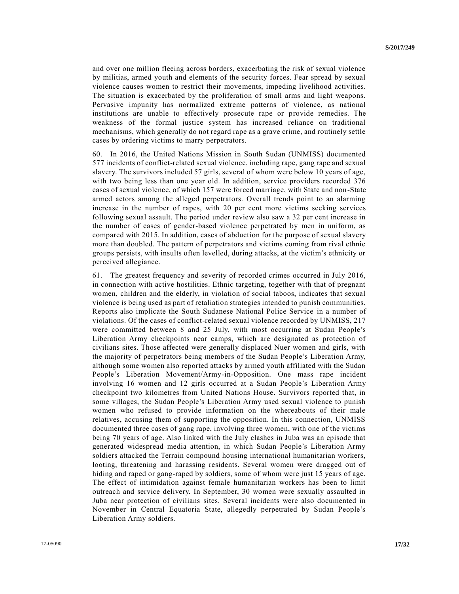and over one million fleeing across borders, exacerbating the risk of sexual violence by militias, armed youth and elements of the security forces. Fear spread by sexual violence causes women to restrict their movements, impeding livelihood activities. The situation is exacerbated by the proliferation of small arms and light weapons. Pervasive impunity has normalized extreme patterns of violence, as national institutions are unable to effectively prosecute rape or provide remedies. The weakness of the formal justice system has increased reliance on traditional mechanisms, which generally do not regard rape as a grave crime, and routinely settle cases by ordering victims to marry perpetrators.

60. In 2016, the United Nations Mission in South Sudan (UNMISS) documented 577 incidents of conflict-related sexual violence, including rape, gang rape and sexual slavery. The survivors included 57 girls, several of whom were below 10 years of age, with two being less than one year old. In addition, service providers recorded 376 cases of sexual violence, of which 157 were forced marriage, with State and non-State armed actors among the alleged perpetrators. Overall trends point to an alarming increase in the number of rapes, with 20 per cent more victims seeking services following sexual assault. The period under review also saw a 32 per cent increase in the number of cases of gender-based violence perpetrated by men in uniform, as compared with 2015. In addition, cases of abduction for the purpose of sexual slavery more than doubled. The pattern of perpetrators and victims coming from rival ethnic groups persists, with insults often levelled, during attacks, at the victim's ethnicity or perceived allegiance.

61. The greatest frequency and severity of recorded crimes occurred in July 2016, in connection with active hostilities. Ethnic targeting, together with that of pregnant women, children and the elderly, in violation of social taboos, indicates that sexual violence is being used as part of retaliation strategies intended to punish communities. Reports also implicate the South Sudanese National Police Service in a number of violations. Of the cases of conflict-related sexual violence recorded by UNMISS, 217 were committed between 8 and 25 July, with most occurring at Sudan People's Liberation Army checkpoints near camps, which are designated as protection of civilians sites. Those affected were generally displaced Nuer women and girls, with the majority of perpetrators being members of the Sudan People's Liberation Army, although some women also reported attacks by armed youth affiliated with the Sudan People's Liberation Movement/Army-in-Opposition. One mass rape incident involving 16 women and 12 girls occurred at a Sudan People's Liberation Army checkpoint two kilometres from United Nations House. Survivors reported that, in some villages, the Sudan People's Liberation Army used sexual violence to punish women who refused to provide information on the whereabouts of their male relatives, accusing them of supporting the opposition. In this connection, UNMISS documented three cases of gang rape, involving three women, with one of the victims being 70 years of age. Also linked with the July clashes in Juba was an episode that generated widespread media attention, in which Sudan People's Liberation Army soldiers attacked the Terrain compound housing international humanitarian workers, looting, threatening and harassing residents. Several women were dragged out of hiding and raped or gang-raped by soldiers, some of whom were just 15 years of age. The effect of intimidation against female humanitarian workers has been to limit outreach and service delivery. In September, 30 women were sexually assaulted in Juba near protection of civilians sites. Several incidents were also documented in November in Central Equatoria State, allegedly perpetrated by Sudan People's Liberation Army soldiers.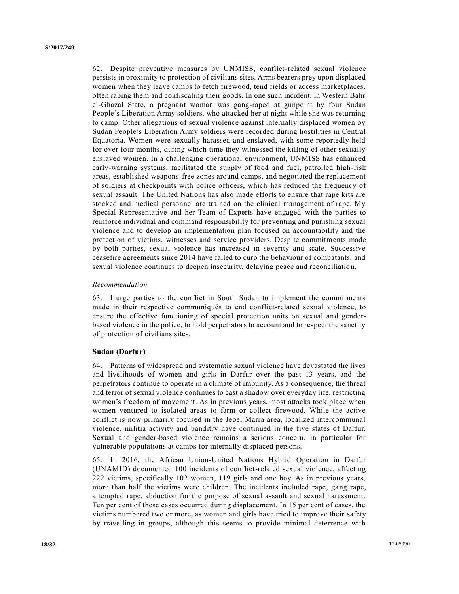62. Despite preventive measures by UNMISS, conflict-related sexual violence persists in proximity to protection of civilians sites. Arms bearers prey upon displaced women when they leave camps to fetch firewood, tend fields or access marketplaces, often raping them and confiscating their goods. In one such incident, in Western Bahr el-Ghazal State, a pregnant woman was gang-raped at gunpoint by four Sudan People's Liberation Army soldiers, who attacked her at night while she was returning to camp. Other allegations of sexual violence against internally displaced women by Sudan People's Liberation Army soldiers were recorded during hostilities in Central Equatoria. Women were sexually harassed and enslaved, with some reportedly held for over four months, during which time they witnessed the killing of other sexually enslaved women. In a challenging operational environment, UNMISS has enhanced early-warning systems, facilitated the supply of food and fuel, patrolled high-risk areas, established weapons-free zones around camps, and negotiated the replacement of soldiers at checkpoints with police officers, which has reduced the frequency of sexual assault. The United Nations has also made efforts to ensure that rape kits are stocked and medical personnel are trained on the clinical management of rape. My Special Representative and her Team of Experts have engaged with the parties to reinforce individual and command responsibility for preventing and punishing sexual violence and to develop an implementation plan focused on accountability and the protection of victims, witnesses and service providers. Despite commitments made by both parties, sexual violence has increased in severity and scale. Successive ceasefire agreements since 2014 have failed to curb the behaviour of combatants, and sexual violence continues to deepen insecurity, delaying peace and reconciliatio n.

#### *Recommendation*

63. I urge parties to the conflict in South Sudan to implement the commitments made in their respective communiqués to end conflict-related sexual violence, to ensure the effective functioning of special protection units on sexual and genderbased violence in the police, to hold perpetrators to account and to respect the sanctity of protection of civilians sites.

#### **Sudan (Darfur)**

64. Patterns of widespread and systematic sexual violence have devastated the lives and livelihoods of women and girls in Darfur over the past 13 years, and the perpetrators continue to operate in a climate of impunity. As a consequence, the threat and terror of sexual violence continues to cast a shadow over everyday life, restricting women's freedom of movement. As in previous years, most attacks took place when women ventured to isolated areas to farm or collect firewood. While the active conflict is now primarily focused in the Jebel Marra area, localized intercommunal violence, militia activity and banditry have continued in the five states of Darfur. Sexual and gender-based violence remains a serious concern, in particular for vulnerable populations at camps for internally displaced persons.

65. In 2016, the African Union-United Nations Hybrid Operation in Darfur (UNAMID) documented 100 incidents of conflict-related sexual violence, affecting 222 victims, specifically 102 women, 119 girls and one boy. As in previous years, more than half the victims were children. The incidents included rape, gang rape, attempted rape, abduction for the purpose of sexual assault and sexual harassment. Ten per cent of these cases occurred during displacement. In 15 per cent of cases, the victims numbered two or more, as women and girls have tried to improve their safety by travelling in groups, although this seems to provide minimal deterrence with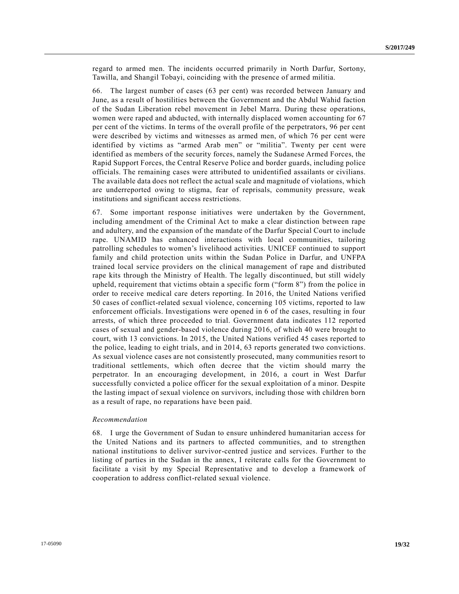regard to armed men. The incidents occurred primarily in North Darfur, Sortony, Tawilla, and Shangil Tobayi, coinciding with the presence of armed militia.

66. The largest number of cases (63 per cent) was recorded between January and June, as a result of hostilities between the Government and the Abdul Wahid faction of the Sudan Liberation rebel movement in Jebel Marra. During these operations, women were raped and abducted, with internally displaced women accounting for 67 per cent of the victims. In terms of the overall profile of the perpetrators, 96 per cent were described by victims and witnesses as armed men, of which 76 per cent were identified by victims as "armed Arab men" or "militia". Twenty per cent were identified as members of the security forces, namely the Sudanese Armed Forces, the Rapid Support Forces, the Central Reserve Police and border guards, including police officials. The remaining cases were attributed to unidentified assailants or civilians. The available data does not reflect the actual scale and magnitude of violations, which are underreported owing to stigma, fear of reprisals, community pressure, weak institutions and significant access restrictions.

67. Some important response initiatives were undertaken by the Government, including amendment of the Criminal Act to make a clear distinction between rape and adultery, and the expansion of the mandate of the Darfur Special Court to include rape. UNAMID has enhanced interactions with local communities, tailoring patrolling schedules to women's livelihood activities. UNICEF continued to support family and child protection units within the Sudan Police in Darfur, and UNFPA trained local service providers on the clinical management of rape and distributed rape kits through the Ministry of Health. The legally discontinued, but still widely upheld, requirement that victims obtain a specific form ("form 8") from the police in order to receive medical care deters reporting. In 2016, the United Nations verified 50 cases of conflict-related sexual violence, concerning 105 victims, reported to law enforcement officials. Investigations were opened in 6 of the cases, resulting in four arrests, of which three proceeded to trial. Government data indicates 112 reported cases of sexual and gender-based violence during 2016, of which 40 were brought to court, with 13 convictions. In 2015, the United Nations verified 45 cases reported to the police, leading to eight trials, and in 2014, 63 reports generated two convictions. As sexual violence cases are not consistently prosecuted, many communities resort to traditional settlements, which often decree that the victim should marry the perpetrator. In an encouraging development, in 2016, a court in West Darfur successfully convicted a police officer for the sexual exploitation of a minor. Despite the lasting impact of sexual violence on survivors, including those with children born as a result of rape, no reparations have been paid.

## *Recommendation*

68. I urge the Government of Sudan to ensure unhindered humanitarian access for the United Nations and its partners to affected communities, and to strengthen national institutions to deliver survivor-centred justice and services. Further to the listing of parties in the Sudan in the annex, I reiterate calls for the Government to facilitate a visit by my Special Representative and to develop a framework of cooperation to address conflict-related sexual violence.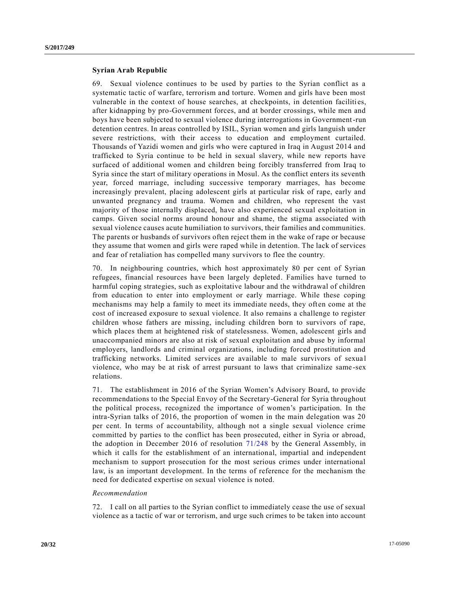#### **Syrian Arab Republic**

69. Sexual violence continues to be used by parties to the Syrian conflict as a systematic tactic of warfare, terrorism and torture. Women and girls have been most vulnerable in the context of house searches, at checkpoints, in detention facilities, after kidnapping by pro-Government forces, and at border crossings, while men and boys have been subjected to sexual violence during interrogations in Government-run detention centres. In areas controlled by ISIL, Syrian women and girls languish under severe restrictions, with their access to education and employment curtailed. Thousands of Yazidi women and girls who were captured in Iraq in August 2014 and trafficked to Syria continue to be held in sexual slavery, while new reports have surfaced of additional women and children being forcibly transferred from Iraq to Syria since the start of military operations in Mosul. As the conflict enters its seventh year, forced marriage, including successive temporary marriages, has become increasingly prevalent, placing adolescent girls at particular risk of rape, early and unwanted pregnancy and trauma. Women and children, who represent the vast majority of those internally displaced, have also experienced sexual exploitation in camps. Given social norms around honour and shame, the stigma associated with sexual violence causes acute humiliation to survivors, their families and communities. The parents or husbands of survivors often reject them in the wake of rape or because they assume that women and girls were raped while in detention. The lack of services and fear of retaliation has compelled many survivors to flee the country.

70. In neighbouring countries, which host approximately 80 per cent of Syrian refugees, financial resources have been largely depleted. Families have turned to harmful coping strategies, such as exploitative labour and the withdrawal of children from education to enter into employment or early marriage. While these coping mechanisms may help a family to meet its immediate needs, they often come at the cost of increased exposure to sexual violence. It also remains a challenge to register children whose fathers are missing, including children born to survivors of rape, which places them at heightened risk of statelessness. Women, adolescent girls and unaccompanied minors are also at risk of sexual exploitation and abuse by informal employers, landlords and criminal organizations, including forced prostitution and trafficking networks. Limited services are available to male survivors of sexua l violence, who may be at risk of arrest pursuant to laws that criminalize same -sex relations.

71. The establishment in 2016 of the Syrian Women's Advisory Board, to provide recommendations to the Special Envoy of the Secretary-General for Syria throughout the political process, recognized the importance of women's participation. In the intra-Syrian talks of 2016, the proportion of women in the main delegation was 20 per cent. In terms of accountability, although not a single sexual violence crime committed by parties to the conflict has been prosecuted, either in Syria or abroad, the adoption in December 2016 of resolution [71/248](http://undocs.org/A/RES/71/248) by the General Assembly, in which it calls for the establishment of an international, impartial and independent mechanism to support prosecution for the most serious crimes under international law, is an important development. In the terms of reference for the mechanism the need for dedicated expertise on sexual violence is noted.

#### *Recommendation*

72. I call on all parties to the Syrian conflict to immediately cease the use of sexual violence as a tactic of war or terrorism, and urge such crimes to be taken into account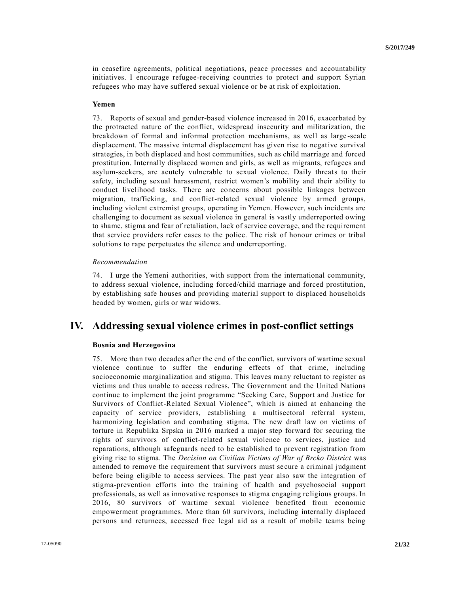in ceasefire agreements, political negotiations, peace processes and accountability initiatives. I encourage refugee-receiving countries to protect and support Syrian refugees who may have suffered sexual violence or be at risk of exploitation.

#### **Yemen**

73. Reports of sexual and gender-based violence increased in 2016, exacerbated by the protracted nature of the conflict, widespread insecurity and militarization, the breakdown of formal and informal protection mechanisms, as well as large -scale displacement. The massive internal displacement has given rise to negative survival strategies, in both displaced and host communities, such as child marriage and forced prostitution. Internally displaced women and girls, as well as migrants, refugees and asylum-seekers, are acutely vulnerable to sexual violence. Daily threats to their safety, including sexual harassment, restrict women's mobility and their ability to conduct livelihood tasks. There are concerns about possible linkages between migration, trafficking, and conflict-related sexual violence by armed groups, including violent extremist groups, operating in Yemen. However, such incidents are challenging to document as sexual violence in general is vastly underreported owing to shame, stigma and fear of retaliation, lack of service coverage, and the requirement that service providers refer cases to the police. The risk of honour crimes or tribal solutions to rape perpetuates the silence and underreporting.

# *Recommendation*

74. I urge the Yemeni authorities, with support from the international community, to address sexual violence, including forced/child marriage and forced prostitution, by establishing safe houses and providing material support to displaced households headed by women, girls or war widows.

# **IV. Addressing sexual violence crimes in post-conflict settings**

# **Bosnia and Herzegovina**

75. More than two decades after the end of the conflict, survivors of wartime sexual violence continue to suffer the enduring effects of that crime, including socioeconomic marginalization and stigma. This leaves many reluctant to register as victims and thus unable to access redress. The Government and the United Nations continue to implement the joint programme "Seeking Care, Support and Justice for Survivors of Conflict-Related Sexual Violence", which is aimed at enhancing the capacity of service providers, establishing a multisectoral referral system, harmonizing legislation and combating stigma. The new draft law on victims of torture in Republika Srpska in 2016 marked a major step forward for securing the rights of survivors of conflict-related sexual violence to services, justice and reparations, although safeguards need to be established to prevent registration from giving rise to stigma. The *Decision on Civilian Victims of War of Brcko District* was amended to remove the requirement that survivors must secure a criminal judgment before being eligible to access services. The past year also saw the integration of stigma-prevention efforts into the training of health and psychosocial support professionals, as well as innovative responses to stigma engaging re ligious groups. In 2016, 80 survivors of wartime sexual violence benefited from economic empowerment programmes. More than 60 survivors, including internally displaced persons and returnees, accessed free legal aid as a result of mobile teams being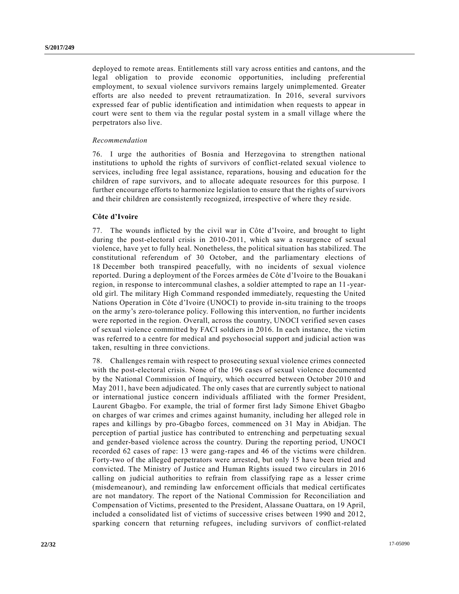deployed to remote areas. Entitlements still vary across entities and cantons, and the legal obligation to provide economic opportunities, including preferential employment, to sexual violence survivors remains largely unimplemented. Greater efforts are also needed to prevent retraumatization. In 2016, several survivors expressed fear of public identification and intimidation when requests to appear in court were sent to them via the regular postal system in a small village where the perpetrators also live.

#### *Recommendation*

76. I urge the authorities of Bosnia and Herzegovina to strengthen national institutions to uphold the rights of survivors of conflict-related sexual violence to services, including free legal assistance, reparations, housing and education for the children of rape survivors, and to allocate adequate resources for this purpose. I further encourage efforts to harmonize legislation to ensure that the rights of survivors and their children are consistently recognized, irrespective of where they re side.

#### **Côte d'Ivoire**

77. The wounds inflicted by the civil war in Côte d'Ivoire, and brought to light during the post-electoral crisis in 2010-2011, which saw a resurgence of sexual violence, have yet to fully heal. Nonetheless, the political situation has stabilized. The constitutional referendum of 30 October, and the parliamentary elections of 18 December both transpired peacefully, with no incidents of sexual violence reported. During a deployment of the Forces armées de Côte d'Ivoire to the Bouakan i region, in response to intercommunal clashes, a soldier attempted to rape an 11 -yearold girl. The military High Command responded immediately, requesting the United Nations Operation in Côte d'Ivoire (UNOCI) to provide in-situ training to the troops on the army's zero-tolerance policy. Following this intervention, no further incidents were reported in the region. Overall, across the country, UNOCI verified seven cases of sexual violence committed by FACI soldiers in 2016. In each instance, the victim was referred to a centre for medical and psychosocial support and judicial action was taken, resulting in three convictions.

78. Challenges remain with respect to prosecuting sexual violence crimes connected with the post-electoral crisis. None of the 196 cases of sexual violence documented by the National Commission of Inquiry, which occurred between October 2010 and May 2011, have been adjudicated. The only cases that are currently subject to national or international justice concern individuals affiliated with the former President, Laurent Gbagbo. For example, the trial of former first lady Simone Ehivet Gbagbo on charges of war crimes and crimes against humanity, including her alleged role in rapes and killings by pro-Gbagbo forces, commenced on 31 May in Abidjan. The perception of partial justice has contributed to entrenching and perpetuating sexual and gender-based violence across the country. During the reporting period, UNOCI recorded 62 cases of rape: 13 were gang-rapes and 46 of the victims were children. Forty-two of the alleged perpetrators were arrested, but only 15 have been tried and convicted. The Ministry of Justice and Human Rights issued two circulars in 2016 calling on judicial authorities to refrain from classifying rape as a lesser crime (misdemeanour), and reminding law enforcement officials that medical certificates are not mandatory. The report of the National Commission for Reconciliation and Compensation of Victims, presented to the President, Alassane Ouattara, on 19 April, included a consolidated list of victims of successive crises between 1990 and 2012, sparking concern that returning refugees, including survivors of conflict-related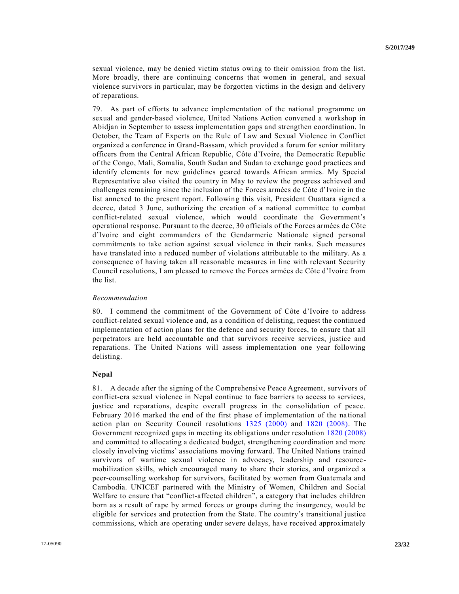sexual violence, may be denied victim status owing to their omission from the list. More broadly, there are continuing concerns that women in general, and sexual violence survivors in particular, may be forgotten victims in the design and delivery of reparations.

79. As part of efforts to advance implementation of the national programme on sexual and gender-based violence, United Nations Action convened a workshop in Abidjan in September to assess implementation gaps and strengthen coordination. In October, the Team of Experts on the Rule of Law and Sexual Violence in Conflict organized a conference in Grand-Bassam, which provided a forum for senior military officers from the Central African Republic, Côte d'Ivoire, the Democratic Republic of the Congo, Mali, Somalia, South Sudan and Sudan to exchange good practices and identify elements for new guidelines geared towards African armies. My Special Representative also visited the country in May to review the progress achieved and challenges remaining since the inclusion of the Forces armées de Côte d'Ivoire in the list annexed to the present report. Following this visit, President Ouattara signed a decree, dated 3 June, authorizing the creation of a national committee to combat conflict-related sexual violence, which would coordinate the Government's operational response. Pursuant to the decree, 30 officials of the Forces armées de Côte d'Ivoire and eight commanders of the Gendarmerie Nationale signed personal commitments to take action against sexual violence in their ranks. Such measures have translated into a reduced number of violations attributable to the military. As a consequence of having taken all reasonable measures in line with relevant Security Council resolutions, I am pleased to remove the Forces armées de Côte d'Ivoire from the list.

### *Recommendation*

80. I commend the commitment of the Government of Côte d'Ivoire to address conflict-related sexual violence and, as a condition of delisting, request the continued implementation of action plans for the defence and security forces, to ensure that all perpetrators are held accountable and that survivors receive services, justice and reparations. The United Nations will assess implementation one year following delisting.

# **Nepal**

81. A decade after the signing of the Comprehensive Peace Agreement, survivors of conflict-era sexual violence in Nepal continue to face barriers to access to services, justice and reparations, despite overall progress in the consolidation of peace. February 2016 marked the end of the first phase of implementation of the national action plan on Security Council resolutions [1325 \(2000\)](http://undocs.org/S/RES/1325(2000)) and [1820 \(2008\).](http://undocs.org/S/RES/1820(2008)) The Government recognized gaps in meeting its obligations under resolution [1820 \(2008\)](http://undocs.org/S/RES/1820(2008)) and committed to allocating a dedicated budget, strengthening coordination and more closely involving victims' associations moving forward. The United Nations trained survivors of wartime sexual violence in advocacy, leadership and resourcemobilization skills, which encouraged many to share their stories, and organized a peer-counselling workshop for survivors, facilitated by women from Guatemala and Cambodia. UNICEF partnered with the Ministry of Women, Children and Social Welfare to ensure that "conflict-affected children", a category that includes children born as a result of rape by armed forces or groups during the insurgency, would be eligible for services and protection from the State. The country's transitional justice commissions, which are operating under severe delays, have received approximately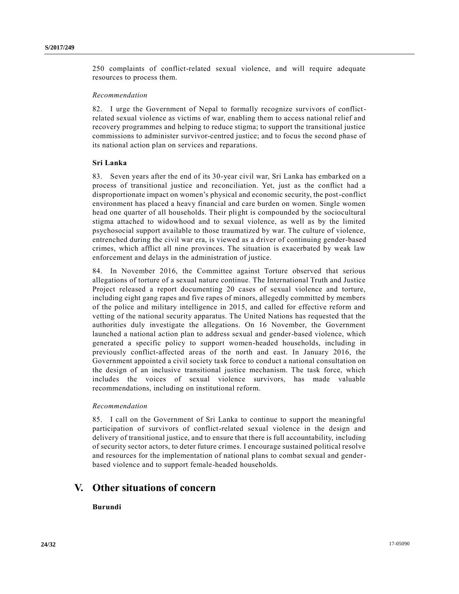250 complaints of conflict-related sexual violence, and will require adequate resources to process them.

#### *Recommendation*

82. I urge the Government of Nepal to formally recognize survivors of conflictrelated sexual violence as victims of war, enabling them to access national relief and recovery programmes and helping to reduce stigma; to support the transitional justice commissions to administer survivor-centred justice; and to focus the second phase of its national action plan on services and reparations.

# **Sri Lanka**

83. Seven years after the end of its 30-year civil war, Sri Lanka has embarked on a process of transitional justice and reconciliation. Yet, just as the conflict had a disproportionate impact on women's physical and economic security, the post-conflict environment has placed a heavy financial and care burden on women. Single women head one quarter of all households. Their plight is compounded by the sociocultural stigma attached to widowhood and to sexual violence, as well as by the limited psychosocial support available to those traumatized by war. The culture of violence, entrenched during the civil war era, is viewed as a driver of continuing gender-based crimes, which afflict all nine provinces. The situation is exacerbated by weak law enforcement and delays in the administration of justice.

84. In November 2016, the Committee against Torture observed that serious allegations of torture of a sexual nature continue. The International Truth and Justice Project released a report documenting 20 cases of sexual violence and torture, including eight gang rapes and five rapes of minors, allegedly committed by members of the police and military intelligence in 2015, and called for effective reform and vetting of the national security apparatus. The United Nations has requested that the authorities duly investigate the allegations. On 16 November, the Government launched a national action plan to address sexual and gender-based violence, which generated a specific policy to support women-headed households, including in previously conflict-affected areas of the north and east. In January 2016, the Government appointed a civil society task force to conduct a national consultation on the design of an inclusive transitional justice mechanism. The task force, which includes the voices of sexual violence survivors, has made valuable recommendations, including on institutional reform.

#### *Recommendation*

85. I call on the Government of Sri Lanka to continue to support the meaningful participation of survivors of conflict-related sexual violence in the design and delivery of transitional justice, and to ensure that there is full accountability, including of security sector actors, to deter future crimes. I encourage sustained political resolve and resources for the implementation of national plans to combat sexual and genderbased violence and to support female-headed households.

# **V. Other situations of concern**

# **Burundi**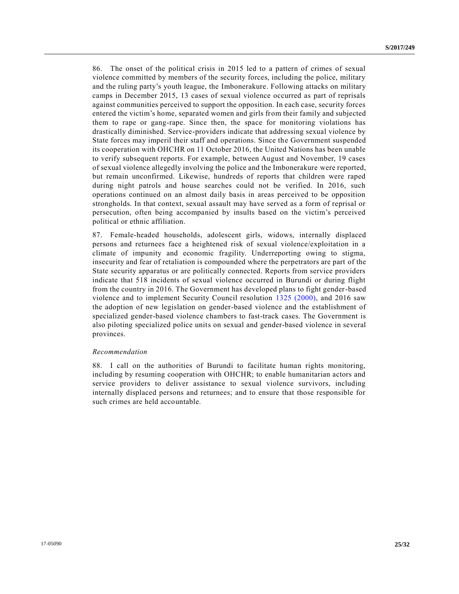86. The onset of the political crisis in 2015 led to a pattern of crimes of sexual violence committed by members of the security forces, including the police, military and the ruling party's youth league, the Imbonerakure. Following attacks on military camps in December 2015, 13 cases of sexual violence occurred as part of reprisals against communities perceived to support the opposition. In each case, security forces entered the victim's home, separated women and girls from their family and subjected them to rape or gang-rape. Since then, the space for monitoring violations has drastically diminished. Service-providers indicate that addressing sexual violence by State forces may imperil their staff and operations. Since the Government suspended its cooperation with OHCHR on 11 October 2016, the United Nations has been unable to verify subsequent reports. For example, between August and November, 19 cases of sexual violence allegedly involving the police and the Imbonerakure were reported, but remain unconfirmed. Likewise, hundreds of reports that children were raped during night patrols and house searches could not be verified. In 2016, such operations continued on an almost daily basis in areas perceived to be opposition strongholds. In that context, sexual assault may have served as a form of reprisal or persecution, often being accompanied by insults based on the victim's perceived political or ethnic affiliation.

87. Female-headed households, adolescent girls, widows, internally displaced persons and returnees face a heightened risk of sexual violence/exploitation in a climate of impunity and economic fragility. Underreporting owing to stigma, insecurity and fear of retaliation is compounded where the perpetrators are part of the State security apparatus or are politically connected. Reports from service providers indicate that 518 incidents of sexual violence occurred in Burundi or during flight from the country in 2016. The Government has developed plans to fight gender-based violence and to implement Security Council resolution [1325 \(2000\),](http://undocs.org/S/RES/1325(2000)) and 2016 saw the adoption of new legislation on gender-based violence and the establishment of specialized gender-based violence chambers to fast-track cases. The Government is also piloting specialized police units on sexual and gender-based violence in several provinces.

#### *Recommendation*

88. I call on the authorities of Burundi to facilitate human rights monitoring, including by resuming cooperation with OHCHR; to enable humanitarian actors and service providers to deliver assistance to sexual violence survivors, including internally displaced persons and returnees; and to ensure that those responsible for such crimes are held accountable.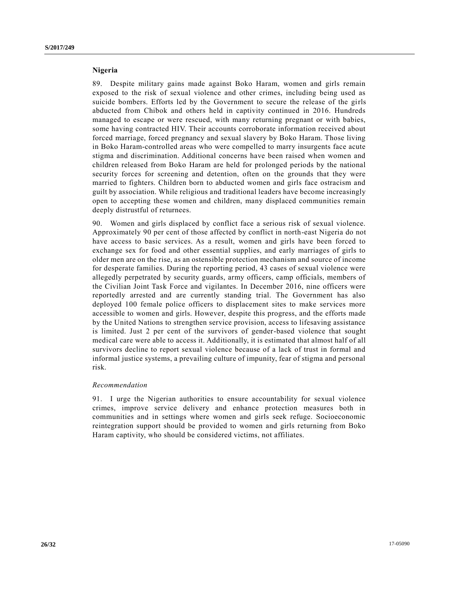#### **Nigeria**

89. Despite military gains made against Boko Haram, women and girls remain exposed to the risk of sexual violence and other crimes, including being used as suicide bombers. Efforts led by the Government to secure the release of the girls abducted from Chibok and others held in captivity continued in 2016. Hundreds managed to escape or were rescued, with many returning pregnant or with babies, some having contracted HIV. Their accounts corroborate information received about forced marriage, forced pregnancy and sexual slavery by Boko Haram. Those living in Boko Haram-controlled areas who were compelled to marry insurgents face acute stigma and discrimination. Additional concerns have been raised when women and children released from Boko Haram are held for prolonged periods by the national security forces for screening and detention, often on the grounds that they were married to fighters. Children born to abducted women and girls face ostracism and guilt by association. While religious and traditional leaders have become increasingly open to accepting these women and children, many displaced communities remain deeply distrustful of returnees.

90. Women and girls displaced by conflict face a serious risk of sexual violence. Approximately 90 per cent of those affected by conflict in north-east Nigeria do not have access to basic services. As a result, women and girls have been forced to exchange sex for food and other essential supplies, and early marriages of girls to older men are on the rise, as an ostensible protection mechanism and source of income for desperate families. During the reporting period, 43 cases of sexual violence were allegedly perpetrated by security guards, army officers, camp officials, members of the Civilian Joint Task Force and vigilantes. In December 2016, nine officers were reportedly arrested and are currently standing trial. The Government has also deployed 100 female police officers to displacement sites to make services more accessible to women and girls. However, despite this progress, and the efforts made by the United Nations to strengthen service provision, access to lifesaving assistance is limited. Just 2 per cent of the survivors of gender-based violence that sought medical care were able to access it. Additionally, it is estimated that almost half of all survivors decline to report sexual violence because of a lack of trust in formal and informal justice systems, a prevailing culture of impunity, fear of stigma and personal risk.

# *Recommendation*

91. I urge the Nigerian authorities to ensure accountability for sexual violence crimes, improve service delivery and enhance protection measures both in communities and in settings where women and girls seek refuge. Socioeconomic reintegration support should be provided to women and girls returning from Boko Haram captivity, who should be considered victims, not affiliates.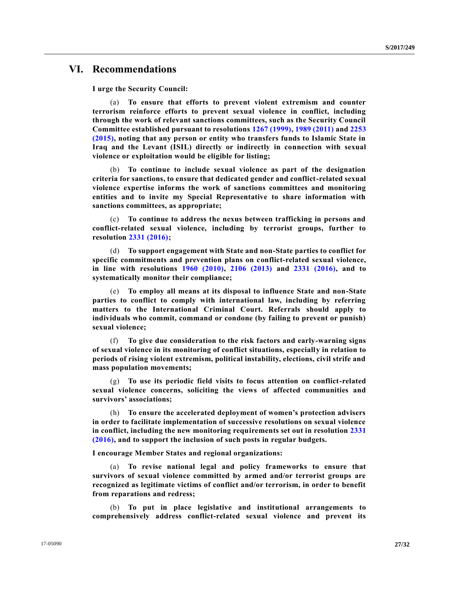# **VI. Recommendations**

**I urge the Security Council:**

(a) **To ensure that efforts to prevent violent extremism and counter terrorism reinforce efforts to prevent sexual violence in conflict, including through the work of relevant sanctions committees, such as the Security Council Committee established pursuant to resolutions [1267 \(1999\),](http://undocs.org/S/RES/1267(1999)) [1989 \(2011\)](http://undocs.org/S/RES/1989(2011)) and [2253](http://undocs.org/S/RES/2253(2015))  [\(2015\),](http://undocs.org/S/RES/2253(2015)) noting that any person or entity who transfers funds to Islamic State in Iraq and the Levant (ISIL) directly or indirectly in connection with sexual violence or exploitation would be eligible for listing;**

(b) **To continue to include sexual violence as part of the designation criteria for sanctions, to ensure that dedicated gender and conflict-related sexual violence expertise informs the work of sanctions committees and monitoring entities and to invite my Special Representative to share information with sanctions committees, as appropriate;** 

(c) **To continue to address the nexus between trafficking in persons and conflict-related sexual violence, including by terrorist groups, further to resolution [2331 \(2016\);](http://undocs.org/S/RES/2331(2016))** 

(d) **To support engagement with State and non-State parties to conflict for specific commitments and prevention plans on conflict-related sexual violence, in line with resolutions [1960 \(2010\),](http://undocs.org/S/RES/1960(2010)) [2106 \(2013\)](http://undocs.org/S/RES/2106(2013)) and [2331 \(2016\),](http://undocs.org/S/RES/2331(2016)) and to systematically monitor their compliance;** 

(e) **To employ all means at its disposal to influence State and non-State parties to conflict to comply with international law, including by referring matters to the International Criminal Court. Referrals should apply to individuals who commit, command or condone (by failing to prevent or punish) sexual violence;**

(f) **To give due consideration to the risk factors and early-warning signs of sexual violence in its monitoring of conflict situations, especially in relation to periods of rising violent extremism, political instability, elections, civil strife and mass population movements;** 

(g) **To use its periodic field visits to focus attention on conflict-related sexual violence concerns, soliciting the views of affected communities and survivors' associations;**

(h) **To ensure the accelerated deployment of women's protection advisers in order to facilitate implementation of successive resolutions on sexual violence in conflict, including the new monitoring requirements set out in resolution [2331](http://undocs.org/S/RES/2331(2016))  [\(2016\),](http://undocs.org/S/RES/2331(2016)) and to support the inclusion of such posts in regular budgets.** 

**I encourage Member States and regional organizations:**

(a) **To revise national legal and policy frameworks to ensure that survivors of sexual violence committed by armed and/or terrorist groups are recognized as legitimate victims of conflict and/or terrorism, in order to benefit from reparations and redress;**

(b) **To put in place legislative and institutional arrangements to comprehensively address conflict-related sexual violence and prevent its**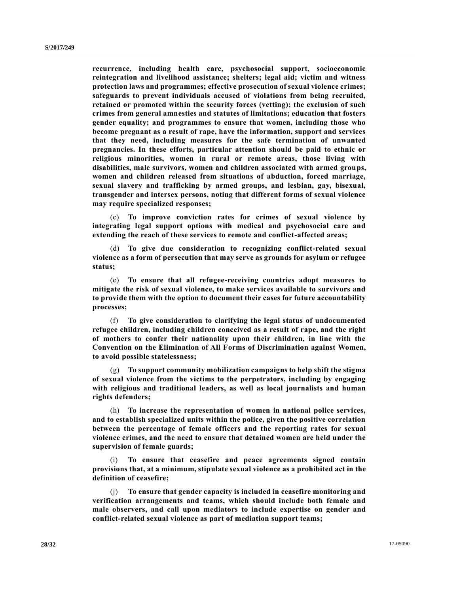**recurrence, including health care, psychosocial support, socioeconomic reintegration and livelihood assistance; shelters; legal aid; victim and witness protection laws and programmes; effective prosecution of sexual violence crimes; safeguards to prevent individuals accused of violations from being recruited, retained or promoted within the security forces (vetting); the exclusion of such crimes from general amnesties and statutes of limitations; education that fosters gender equality; and programmes to ensure that women, including those who become pregnant as a result of rape, have the information, support and services that they need, including measures for the safe termination of unwanted pregnancies. In these efforts, particular attention should be paid to ethnic or religious minorities, women in rural or remote areas, those living with disabilities, male survivors, women and children associated with armed groups, women and children released from situations of abduction, forced marriage, sexual slavery and trafficking by armed groups, and lesbian, gay, bisexual, transgender and intersex persons, noting that different forms of sexual violence may require specialized responses;**

(c) **To improve conviction rates for crimes of sexual violence by integrating legal support options with medical and psychosocial care and extending the reach of these services to remote and conflict-affected areas;**

(d) **To give due consideration to recognizing conflict-related sexual violence as a form of persecution that may serve as grounds for asylum or refugee status;** 

(e) **To ensure that all refugee-receiving countries adopt measures to mitigate the risk of sexual violence, to make services available to survivors and to provide them with the option to document their cases for future accountability processes;** 

(f) **To give consideration to clarifying the legal status of undocumented refugee children, including children conceived as a result of rape, and the right of mothers to confer their nationality upon their children, in line with the Convention on the Elimination of All Forms of Discrimination against Women, to avoid possible statelessness;**

(g) **To support community mobilization campaigns to help shift the stigma of sexual violence from the victims to the perpetrators, including by engaging with religious and traditional leaders, as well as local journalists and human rights defenders;** 

(h) **To increase the representation of women in national police services, and to establish specialized units within the police, given the positive correlation between the percentage of female officers and the reporting rates for sexual violence crimes, and the need to ensure that detained women are held under the supervision of female guards;**

(i) **To ensure that ceasefire and peace agreements signed contain provisions that, at a minimum, stipulate sexual violence as a prohibited act in the definition of ceasefire;**

(j) **To ensure that gender capacity is included in ceasefire monitoring and verification arrangements and teams, which should include both female and male observers, and call upon mediators to include expertise on gender and conflict-related sexual violence as part of mediation support teams;**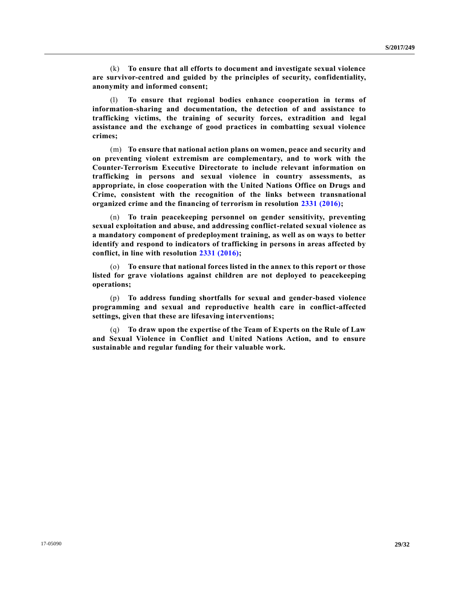(k) **To ensure that all efforts to document and investigate sexual violence are survivor-centred and guided by the principles of security, confidentiality, anonymity and informed consent;**

(l) **To ensure that regional bodies enhance cooperation in terms of information-sharing and documentation, the detection of and assistance to trafficking victims, the training of security forces, extradition and legal assistance and the exchange of good practices in combatting sexual violence crimes;**

(m) **To ensure that national action plans on women, peace and security and on preventing violent extremism are complementary, and to work with the Counter-Terrorism Executive Directorate to include relevant information on trafficking in persons and sexual violence in country assessments, as appropriate, in close cooperation with the United Nations Office on Drugs and Crime, consistent with the recognition of the links between transnational organized crime and the financing of terrorism in resolution [2331 \(2016\);](http://undocs.org/S/RES/2331(2016))** 

(n) **To train peacekeeping personnel on gender sensitivity, preventing sexual exploitation and abuse, and addressing conflict-related sexual violence as a mandatory component of predeployment training, as well as on ways to better identify and respond to indicators of trafficking in persons in areas affected by conflict, in line with resolution [2331 \(2016\);](http://undocs.org/S/RES/2331(2016))** 

(o) **To ensure that national forces listed in the annex to this report or those listed for grave violations against children are not deployed to peacekeeping operations;** 

(p) **To address funding shortfalls for sexual and gender-based violence programming and sexual and reproductive health care in conflict-affected settings, given that these are lifesaving interventions;** 

(q) **To draw upon the expertise of the Team of Experts on the Rule of Law and Sexual Violence in Conflict and United Nations Action, and to ensure sustainable and regular funding for their valuable work.**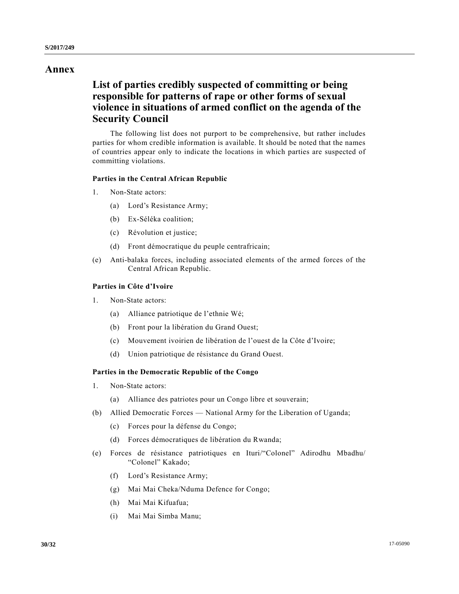# **Annex**

# **List of parties credibly suspected of committing or being responsible for patterns of rape or other forms of sexual violence in situations of armed conflict on the agenda of the Security Council**

The following list does not purport to be comprehensive, but rather includes parties for whom credible information is available. It should be noted that the names of countries appear only to indicate the locations in which parties are suspected of committing violations.

# **Parties in the Central African Republic**

- 1. Non-State actors:
	- (a) Lord's Resistance Army;
	- (b) Ex-Séléka coalition;
	- (c) Révolution et justice;
	- (d) Front démocratique du peuple centrafricain;
- (e) Anti-balaka forces, including associated elements of the armed forces of the Central African Republic.

# **Parties in Côte d'Ivoire**

- 1. Non-State actors:
	- (a) Alliance patriotique de l'ethnie Wé;
	- (b) Front pour la libération du Grand Ouest;
	- (c) Mouvement ivoirien de libération de l'ouest de la Côte d'Ivoire;
	- (d) Union patriotique de résistance du Grand Ouest.

# **Parties in the Democratic Republic of the Congo**

- 1. Non-State actors:
	- (a) Alliance des patriotes pour un Congo libre et souverain;
- (b) Allied Democratic Forces National Army for the Liberation of Uganda;
	- (c) Forces pour la défense du Congo;
	- (d) Forces démocratiques de libération du Rwanda;
- (e) Forces de résistance patriotiques en Ituri/"Colonel" Adirodhu Mbadhu/ "Colonel" Kakado;
	- (f) Lord's Resistance Army;
	- (g) Mai Mai Cheka/Nduma Defence for Congo;
	- (h) Mai Mai Kifuafua;
	- (i) Mai Mai Simba Manu;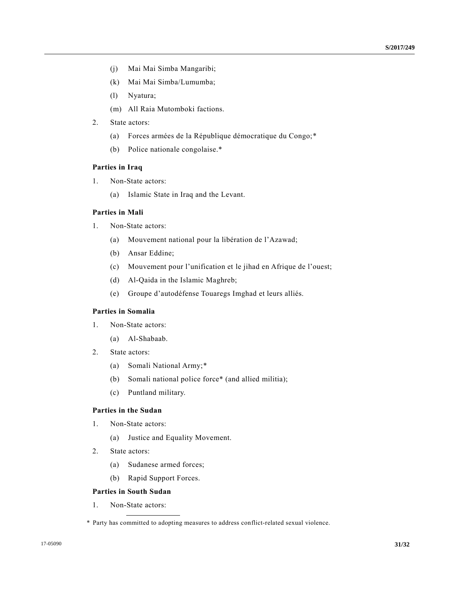- (j) Mai Mai Simba Mangaribi;
- (k) Mai Mai Simba/Lumumba;
- (l) Nyatura;
- (m) All Raia Mutomboki factions.
- 2. State actors:
	- (a) Forces armées de la République démocratique du Congo;\*
	- (b) Police nationale congolaise.\*

### **Parties in Iraq**

- 1. Non-State actors:
	- (a) Islamic State in Iraq and the Levant.

# **Parties in Mali**

- 1. Non-State actors:
	- (a) Mouvement national pour la libération de l'Azawad;
	- (b) Ansar Eddine;
	- (c) Mouvement pour l'unification et le jihad en Afrique de l'ouest;
	- (d) Al-Qaida in the Islamic Maghreb;
	- (e) Groupe d'autodéfense Touaregs Imghad et leurs alliés.

# **Parties in Somalia**

- 1. Non-State actors:
	- (a) Al-Shabaab.
- 2. State actors:
	- (a) Somali National Army;\*
	- (b) Somali national police force\* (and allied militia);
	- (c) Puntland military.

# **Parties in the Sudan**

- 1. Non-State actors:
	- (a) Justice and Equality Movement.
- 2. State actors:
	- (a) Sudanese armed forces;
	- (b) Rapid Support Forces.

# **Parties in South Sudan**

1. Non-State actors:

<sup>\*</sup> Party has committed to adopting measures to address conflict-related sexual violence.